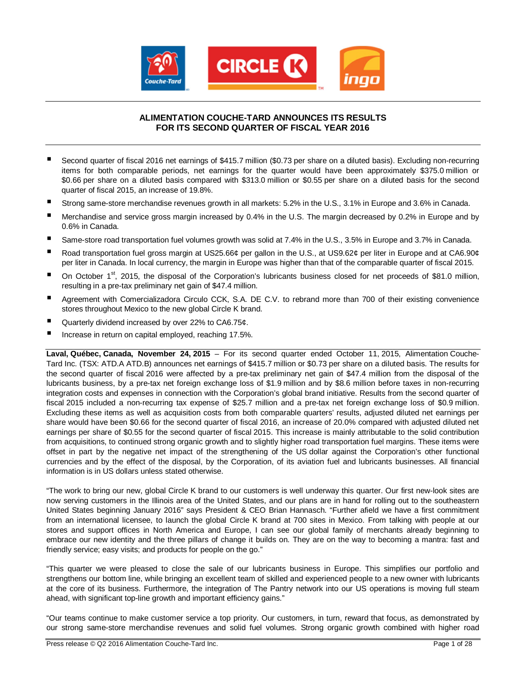

## **ALIMENTATION COUCHE-TARD ANNOUNCES ITS RESULTS FOR ITS SECOND QUARTER OF FISCAL YEAR 2016**

- Second quarter of fiscal 2016 net earnings of \$415.7 million (\$0.73 per share on a diluted basis). Excluding non-recurring items for both comparable periods, net earnings for the quarter would have been approximately \$375.0 million or \$0.66 per share on a diluted basis compared with \$313.0 million or \$0.55 per share on a diluted basis for the second quarter of fiscal 2015, an increase of 19.8%.
- Strong same-store merchandise revenues growth in all markets: 5.2% in the U.S., 3.1% in Europe and 3.6% in Canada.
- **Merchandise and service gross margin increased by 0.4% in the U.S. The margin decreased by 0.2% in Europe and by** 0.6% in Canada.
- Same-store road transportation fuel volumes growth was solid at 7.4% in the U.S., 3.5% in Europe and 3.7% in Canada.
- Road transportation fuel gross margin at US25.66¢ per gallon in the U.S., at US9.62¢ per liter in Europe and at CA6.90¢ per liter in Canada. In local currency, the margin in Europe was higher than that of the comparable quarter of fiscal 2015.
- On October 1<sup>st</sup>, 2015, the disposal of the Corporation's lubricants business closed for net proceeds of \$81.0 million, resulting in a pre-tax preliminary net gain of \$47.4 million.
- Agreement with Comercializadora Circulo CCK, S.A. DE C.V. to rebrand more than 700 of their existing convenience stores throughout Mexico to the new global Circle K brand.
- Quarterly dividend increased by over 22% to CA6.75¢.
- Increase in return on capital employed, reaching 17.5%.

**Laval, Québec, Canada, November 24, 2015** – For its second quarter ended October 11, 2015, Alimentation Couche-Tard Inc. (TSX: ATD.A ATD.B) announces net earnings of \$415.7 million or \$0.73 per share on a diluted basis. The results for the second quarter of fiscal 2016 were affected by a pre-tax preliminary net gain of \$47.4 million from the disposal of the lubricants business, by a pre-tax net foreign exchange loss of \$1.9 million and by \$8.6 million before taxes in non-recurring integration costs and expenses in connection with the Corporation's global brand initiative. Results from the second quarter of fiscal 2015 included a non-recurring tax expense of \$25.7 million and a pre-tax net foreign exchange loss of \$0.9 million. Excluding these items as well as acquisition costs from both comparable quarters' results, adjusted diluted net earnings per share would have been \$0.66 for the second quarter of fiscal 2016, an increase of 20.0% compared with adjusted diluted net earnings per share of \$0.55 for the second quarter of fiscal 2015. This increase is mainly attributable to the solid contribution from acquisitions, to continued strong organic growth and to slightly higher road transportation fuel margins. These items were offset in part by the negative net impact of the strengthening of the US dollar against the Corporation's other functional currencies and by the effect of the disposal, by the Corporation, of its aviation fuel and lubricants businesses. All financial information is in US dollars unless stated otherwise.

"The work to bring our new, global Circle K brand to our customers is well underway this quarter. Our first new-look sites are now serving customers in the Illinois area of the United States, and our plans are in hand for rolling out to the southeastern United States beginning January 2016" says President & CEO Brian Hannasch. "Further afield we have a first commitment from an international licensee, to launch the global Circle K brand at 700 sites in Mexico. From talking with people at our stores and support offices in North America and Europe, I can see our global family of merchants already beginning to embrace our new identity and the three pillars of change it builds on. They are on the way to becoming a mantra: fast and friendly service; easy visits; and products for people on the go."

"This quarter we were pleased to close the sale of our lubricants business in Europe. This simplifies our portfolio and strengthens our bottom line, while bringing an excellent team of skilled and experienced people to a new owner with lubricants at the core of its business. Furthermore, the integration of The Pantry network into our US operations is moving full steam ahead, with significant top-line growth and important efficiency gains."

"Our teams continue to make customer service a top priority. Our customers, in turn, reward that focus, as demonstrated by our strong same-store merchandise revenues and solid fuel volumes. Strong organic growth combined with higher road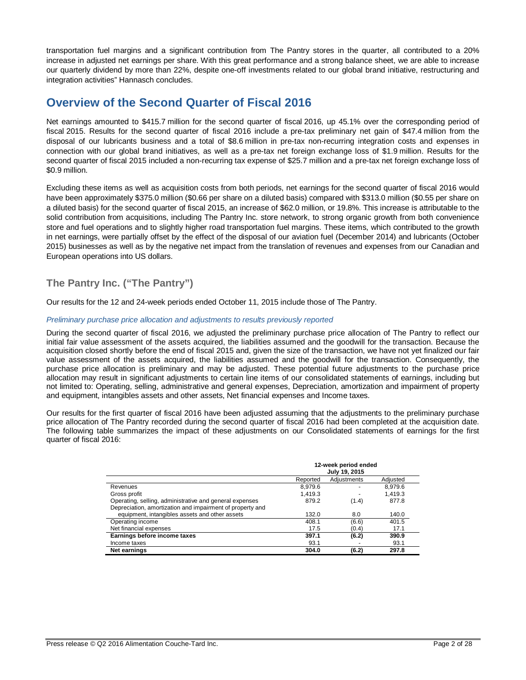transportation fuel margins and a significant contribution from The Pantry stores in the quarter, all contributed to a 20% increase in adjusted net earnings per share. With this great performance and a strong balance sheet, we are able to increase our quarterly dividend by more than 22%, despite one-off investments related to our global brand initiative, restructuring and integration activities" Hannasch concludes.

# **Overview of the Second Quarter of Fiscal 2016**

Net earnings amounted to \$415.7 million for the second quarter of fiscal 2016, up 45.1% over the corresponding period of fiscal 2015. Results for the second quarter of fiscal 2016 include a pre-tax preliminary net gain of \$47.4 million from the disposal of our lubricants business and a total of \$8.6 million in pre-tax non-recurring integration costs and expenses in connection with our global brand initiatives, as well as a pre-tax net foreign exchange loss of \$1.9 million. Results for the second quarter of fiscal 2015 included a non-recurring tax expense of \$25.7 million and a pre-tax net foreign exchange loss of \$0.9 million.

Excluding these items as well as acquisition costs from both periods, net earnings for the second quarter of fiscal 2016 would have been approximately \$375.0 million (\$0.66 per share on a diluted basis) compared with \$313.0 million (\$0.55 per share on a diluted basis) for the second quarter of fiscal 2015, an increase of \$62.0 million, or 19.8%. This increase is attributable to the solid contribution from acquisitions, including The Pantry Inc. store network, to strong organic growth from both convenience store and fuel operations and to slightly higher road transportation fuel margins. These items, which contributed to the growth in net earnings, were partially offset by the effect of the disposal of our aviation fuel (December 2014) and lubricants (October 2015) businesses as well as by the negative net impact from the translation of revenues and expenses from our Canadian and European operations into US dollars.

# **The Pantry Inc. ("The Pantry")**

Our results for the 12 and 24-week periods ended October 11, 2015 include those of The Pantry.

### *Preliminary purchase price allocation and adjustments to results previously reported*

During the second quarter of fiscal 2016, we adjusted the preliminary purchase price allocation of The Pantry to reflect our initial fair value assessment of the assets acquired, the liabilities assumed and the goodwill for the transaction. Because the acquisition closed shortly before the end of fiscal 2015 and, given the size of the transaction, we have not yet finalized our fair value assessment of the assets acquired, the liabilities assumed and the goodwill for the transaction. Consequently, the purchase price allocation is preliminary and may be adjusted. These potential future adjustments to the purchase price allocation may result in significant adjustments to certain line items of our consolidated statements of earnings, including but not limited to: Operating, selling, administrative and general expenses, Depreciation, amortization and impairment of property and equipment, intangibles assets and other assets, Net financial expenses and Income taxes.

Our results for the first quarter of fiscal 2016 have been adjusted assuming that the adjustments to the preliminary purchase price allocation of The Pantry recorded during the second quarter of fiscal 2016 had been completed at the acquisition date. The following table summarizes the impact of these adjustments on our Consolidated statements of earnings for the first quarter of fiscal 2016:

|                                                           | 12-week period ended<br>July 19, 2015 |                          |          |  |  |
|-----------------------------------------------------------|---------------------------------------|--------------------------|----------|--|--|
|                                                           | Reported                              | Adjustments              | Adjusted |  |  |
| Revenues                                                  | 8.979.6                               |                          | 8.979.6  |  |  |
| Gross profit                                              | 1.419.3                               | $\overline{\phantom{0}}$ | 1,419.3  |  |  |
| Operating, selling, administrative and general expenses   | 879.2                                 | (1.4)                    | 877.8    |  |  |
| Depreciation, amortization and impairment of property and |                                       |                          |          |  |  |
| equipment, intangibles assets and other assets            | 132.0                                 | 8.0                      | 140.0    |  |  |
| Operating income                                          | 408.1                                 | (6.6)                    | 401.5    |  |  |
| Net financial expenses                                    | 17.5                                  | (0.4)                    | 17.1     |  |  |
| Earnings before income taxes                              | 397.1                                 | (6.2)                    | 390.9    |  |  |
| Income taxes                                              | 93.1                                  |                          | 93.1     |  |  |
| Net earnings                                              | 304.0                                 | (6.2)                    | 297.8    |  |  |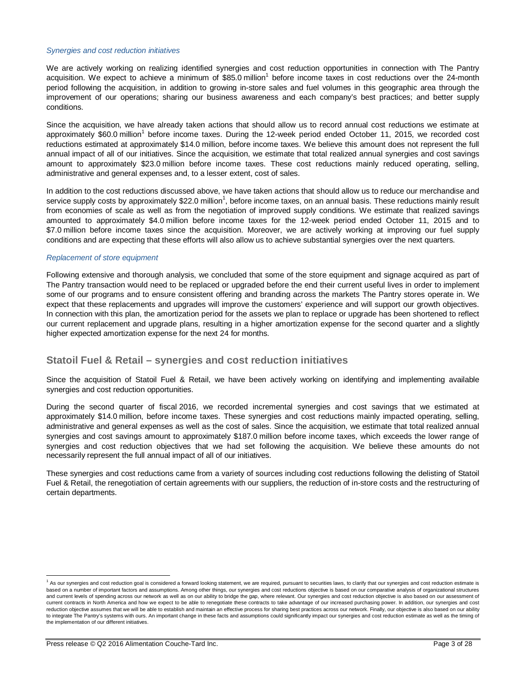#### *Synergies and cost reduction initiatives*

We are actively working on realizing identified synergies and cost reduction opportunities in connection with The Pantry acquisition. We expect to achieve a minimum of \$85.0 million<sup>1</sup> before income taxes in cost reductions over the 24-month period following the acquisition, in addition to growing in-store sales and fuel volumes in this geographic area through the improvement of our operations; sharing our business awareness and each company's best practices; and better supply conditions.

Since the acquisition, we have already taken actions that should allow us to record annual cost reductions we estimate at approximately \$60.0 million<sup>1</sup> before income taxes. During the 12-week period ended October 11, 2015, we recorded cost reductions estimated at approximately \$14.0 million, before income taxes. We believe this amount does not represent the full annual impact of all of our initiatives. Since the acquisition, we estimate that total realized annual synergies and cost savings amount to approximately \$23.0 million before income taxes. These cost reductions mainly reduced operating, selling, administrative and general expenses and, to a lesser extent, cost of sales.

In addition to the cost reductions discussed above, we have taken actions that should allow us to reduce our merchandise and service supply costs by approximately \$22.0 million<sup>1</sup>, before income taxes, on an annual basis. These reductions mainly result from economies of scale as well as from the negotiation of improved supply conditions. We estimate that realized savings amounted to approximately \$4.0 million before income taxes for the 12-week period ended October 11, 2015 and to \$7.0 million before income taxes since the acquisition. Moreover, we are actively working at improving our fuel supply conditions and are expecting that these efforts will also allow us to achieve substantial synergies over the next quarters.

### *Replacement of store equipment*

Following extensive and thorough analysis, we concluded that some of the store equipment and signage acquired as part of The Pantry transaction would need to be replaced or upgraded before the end their current useful lives in order to implement some of our programs and to ensure consistent offering and branding across the markets The Pantry stores operate in. We expect that these replacements and upgrades will improve the customers' experience and will support our growth objectives. In connection with this plan, the amortization period for the assets we plan to replace or upgrade has been shortened to reflect our current replacement and upgrade plans, resulting in a higher amortization expense for the second quarter and a slightly higher expected amortization expense for the next 24 for months.

## **Statoil Fuel & Retail – synergies and cost reduction initiatives**

Since the acquisition of Statoil Fuel & Retail, we have been actively working on identifying and implementing available synergies and cost reduction opportunities.

During the second quarter of fiscal 2016, we recorded incremental synergies and cost savings that we estimated at approximately \$14.0 million, before income taxes. These synergies and cost reductions mainly impacted operating, selling, administrative and general expenses as well as the cost of sales. Since the acquisition, we estimate that total realized annual synergies and cost savings amount to approximately \$187.0 million before income taxes, which exceeds the lower range of synergies and cost reduction objectives that we had set following the acquisition. We believe these amounts do not necessarily represent the full annual impact of all of our initiatives.

These synergies and cost reductions came from a variety of sources including cost reductions following the delisting of Statoil Fuel & Retail, the renegotiation of certain agreements with our suppliers, the reduction of in-store costs and the restructuring of certain departments.

<sup>1&</sup>lt;br>As our synergies and cost reduction goal is considered a forward looking statement, we are required, pursuant to securities laws, to clarify that our synergies and cost reduction estimate is based on a number of important factors and assumptions. Among other things, our synergies and cost reductions objective is based on our comparative analysis of organizational structures and current levels of spending across our network as well as on our ability to bridge the gap, where relevant. Our synergies and cost reduction objective is also based on our assessment of current contracts in North America and how we expect to be able to renegotiate these contracts to take advantage of our increased purchasing power. In addition, our synergies and cost reduction objective assumes that we will be able to establish and maintain an effective process for sharing best practices across our network. Finally, our objective is also based on our ability to integrate The Pantry's systems with ours. An important change in these facts and assumptions could significantly impact our synergies and cost reduction estimate as well as the timing of the implementation of our different initiatives.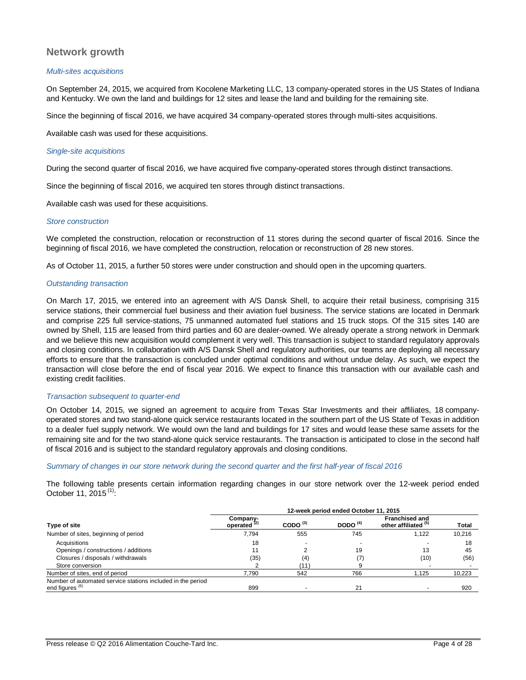# **Network growth**

#### *Multi-sites acquisitions*

On September 24, 2015, we acquired from Kocolene Marketing LLC, 13 company-operated stores in the US States of Indiana and Kentucky. We own the land and buildings for 12 sites and lease the land and building for the remaining site.

Since the beginning of fiscal 2016, we have acquired 34 company-operated stores through multi-sites acquisitions.

Available cash was used for these acquisitions.

### *Single-site acquisitions*

During the second quarter of fiscal 2016, we have acquired five company-operated stores through distinct transactions.

Since the beginning of fiscal 2016, we acquired ten stores through distinct transactions.

Available cash was used for these acquisitions.

### *Store construction*

We completed the construction, relocation or reconstruction of 11 stores during the second quarter of fiscal 2016. Since the beginning of fiscal 2016, we have completed the construction, relocation or reconstruction of 28 new stores.

As of October 11, 2015, a further 50 stores were under construction and should open in the upcoming quarters.

### *Outstanding transaction*

On March 17, 2015, we entered into an agreement with A/S Dansk Shell, to acquire their retail business, comprising 315 service stations, their commercial fuel business and their aviation fuel business. The service stations are located in Denmark and comprise 225 full service-stations, 75 unmanned automated fuel stations and 15 truck stops. Of the 315 sites 140 are owned by Shell, 115 are leased from third parties and 60 are dealer-owned. We already operate a strong network in Denmark and we believe this new acquisition would complement it very well. This transaction is subject to standard regulatory approvals and closing conditions. In collaboration with A/S Dansk Shell and regulatory authorities, our teams are deploying all necessary efforts to ensure that the transaction is concluded under optimal conditions and without undue delay. As such, we expect the transaction will close before the end of fiscal year 2016. We expect to finance this transaction with our available cash and existing credit facilities.

#### *Transaction subsequent to quarter-end*

On October 14, 2015, we signed an agreement to acquire from Texas Star Investments and their affiliates, 18 companyoperated stores and two stand-alone quick service restaurants located in the southern part of the US State of Texas in addition to a dealer fuel supply network. We would own the land and buildings for 17 sites and would lease these same assets for the remaining site and for the two stand-alone quick service restaurants. The transaction is anticipated to close in the second half of fiscal 2016 and is subject to the standard regulatory approvals and closing conditions.

#### *Summary of changes in our store network during the second quarter and the first half-year of fiscal 2016*

The following table presents certain information regarding changes in our store network over the 12-week period ended October 11, 2015<sup>(1)</sup>:

|                                                             | 12-week period ended October 11, 2015 |                     |            |                                               |              |  |  |
|-------------------------------------------------------------|---------------------------------------|---------------------|------------|-----------------------------------------------|--------------|--|--|
| Type of site                                                | Company-<br>operated <sup>(2)</sup>   | CODO <sup>(3)</sup> | DODO $(4)$ | <b>Franchised and</b><br>other affiliated (b) | <b>Total</b> |  |  |
| Number of sites, beginning of period                        | 7.794                                 | 555                 | 745        | 1.122                                         | 10.216       |  |  |
| Acquisitions                                                | 18                                    |                     |            |                                               | 18           |  |  |
| Openings / constructions / additions                        | 11                                    |                     | 19         | 13                                            | 45           |  |  |
| Closures / disposals / withdrawals                          | (35)                                  | (4)                 | (7)        | (10)                                          | (56)         |  |  |
| Store conversion                                            |                                       | (11                 |            |                                               |              |  |  |
| Number of sites, end of period                              | 7.790                                 | 542                 | 766        | 1.125                                         | 10,223       |  |  |
| Number of automated service stations included in the period |                                       |                     |            |                                               |              |  |  |
| end figures <sup>(6)</sup>                                  | 899                                   |                     | 21         |                                               | 920          |  |  |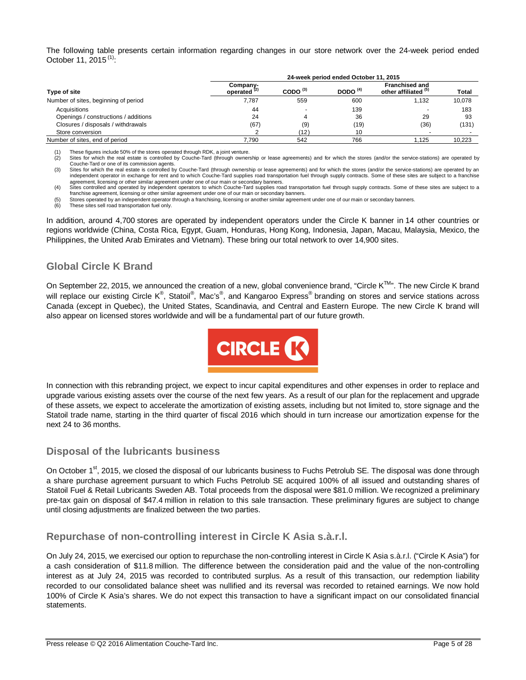The following table presents certain information regarding changes in our store network over the 24-week period ended October 11, 2015<sup>(1)</sup>:

|                                      |                            | 24-week period ended October 11, 2015 |            |                                               |              |  |  |  |
|--------------------------------------|----------------------------|---------------------------------------|------------|-----------------------------------------------|--------------|--|--|--|
| Type of site                         | Company-<br>operated $(2)$ | $\mathsf{CODO}^{(3)}$                 | DODO $(4)$ | <b>Franchised and</b><br>other affiliated (5) | <b>Total</b> |  |  |  |
| Number of sites, beginning of period | 7.787                      | 559                                   | 600        | 1.132                                         | 10,078       |  |  |  |
| Acquisitions                         | 44                         |                                       | 139        |                                               | 183          |  |  |  |
| Openings / constructions / additions | 24                         |                                       | 36         | 29                                            | 93           |  |  |  |
| Closures / disposals / withdrawals   | (67)                       | (9)                                   | (19)       | (36)                                          | (131)        |  |  |  |
| Store conversion                     |                            | (12)                                  | 10         |                                               |              |  |  |  |
| Number of sites, end of period       | 7.790                      | 542                                   | 766        | 1.125                                         | 10.223       |  |  |  |

(1) These figures include 50% of the stores operated through RDK, a joint venture.<br>(2) Sites for which the real estate is controlled by Couche-Tard (through owner

Sites for which the real estate is controlled by Couche-Tard (through ownership or lease agreements) and for which the stores (and/or the service-stations) are operated by Couche-Tard or one of its commission agents.

(3) Sites for which the real estate is controlled by Couche-Tard (through ownership or lease agreements) and for which the stores (and/or the service-stations) are operated by an independent operator in exchange for rent and to which Couche-Tard supplies road transportation fuel through supply contracts. Some of these sites are subject to a franchise<br>agreement, licensing or other similar agreement

(4) Sites controlled and operated by independent operators to which Couche-Tard supplies road transportation fuel through supply contracts. Some of these sites are subject to a franchise agreement, licensing or other similar agreement under one of our main or secondary banners.

(5) Stores operated by an independent operator through a franchising, licensing or another similar agreement under one of our main or secondary banners.<br>(6) These sites sell road transportation fuel only.

These sites sell road transportation fuel only.

In addition, around 4,700 stores are operated by independent operators under the Circle K banner in 14 other countries or regions worldwide (China, Costa Rica, Egypt, Guam, Honduras, Hong Kong, Indonesia, Japan, Macau, Malaysia, Mexico, the Philippines, the United Arab Emirates and Vietnam). These bring our total network to over 14,900 sites.

# **Global Circle K Brand**

On September 22, 2015, we announced the creation of a new, global convenience brand, "Circle K<sup>™</sup>". The new Circle K brand will replace our existing Circle K®, Statoil®, Mac's®, and Kangaroo Express® branding on stores and service stations across Canada (except in Quebec), the United States, Scandinavia, and Central and Eastern Europe. The new Circle K brand will also appear on licensed stores worldwide and will be a fundamental part of our future growth.



In connection with this rebranding project, we expect to incur capital expenditures and other expenses in order to replace and upgrade various existing assets over the course of the next few years. As a result of our plan for the replacement and upgrade of these assets, we expect to accelerate the amortization of existing assets, including but not limited to, store signage and the Statoil trade name, starting in the third quarter of fiscal 2016 which should in turn increase our amortization expense for the next 24 to 36 months.

## **Disposal of the lubricants business**

On October 1<sup>st</sup>, 2015, we closed the disposal of our lubricants business to Fuchs Petrolub SE. The disposal was done through a share purchase agreement pursuant to which Fuchs Petrolub SE acquired 100% of all issued and outstanding shares of Statoil Fuel & Retail Lubricants Sweden AB. Total proceeds from the disposal were \$81.0 million. We recognized a preliminary pre-tax gain on disposal of \$47.4 million in relation to this sale transaction. These preliminary figures are subject to change until closing adjustments are finalized between the two parties.

## **Repurchase of non-controlling interest in Circle K Asia s.à.r.l.**

On July 24, 2015, we exercised our option to repurchase the non-controlling interest in Circle K Asia s.à.r.l. ("Circle K Asia") for a cash consideration of \$11.8 million. The difference between the consideration paid and the value of the non-controlling interest as at July 24, 2015 was recorded to contributed surplus. As a result of this transaction, our redemption liability recorded to our consolidated balance sheet was nullified and its reversal was recorded to retained earnings. We now hold 100% of Circle K Asia's shares. We do not expect this transaction to have a significant impact on our consolidated financial statements.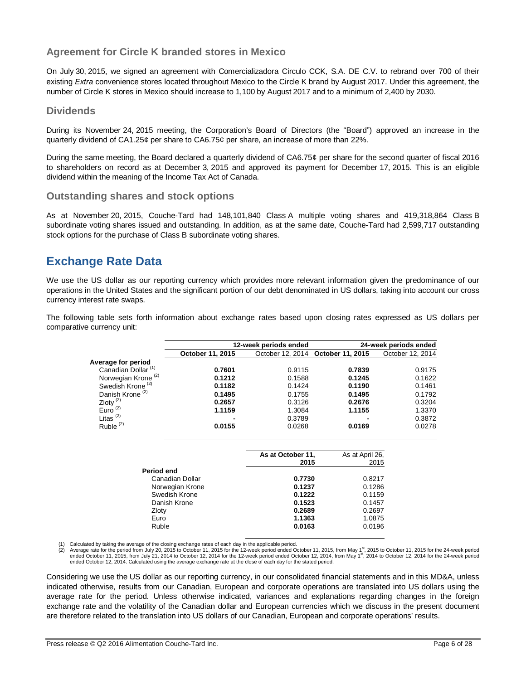# **Agreement for Circle K branded stores in Mexico**

On July 30, 2015, we signed an agreement with Comercializadora Circulo CCK, S.A. DE C.V. to rebrand over 700 of their existing *Extra* convenience stores located throughout Mexico to the Circle K brand by August 2017. Under this agreement, the number of Circle K stores in Mexico should increase to 1,100 by August 2017 and to a minimum of 2,400 by 2030.

## **Dividends**

During its November 24, 2015 meeting, the Corporation's Board of Directors (the "Board") approved an increase in the quarterly dividend of CA1.25¢ per share to CA6.75¢ per share, an increase of more than 22%.

During the same meeting, the Board declared a quarterly dividend of CA6.75¢ per share for the second quarter of fiscal 2016 to shareholders on record as at December 3, 2015 and approved its payment for December 17, 2015. This is an eligible dividend within the meaning of the Income Tax Act of Canada.

## **Outstanding shares and stock options**

As at November 20, 2015, Couche-Tard had 148,101,840 Class A multiple voting shares and 419,318,864 Class B subordinate voting shares issued and outstanding. In addition, as at the same date, Couche-Tard had 2,599,717 outstanding stock options for the purchase of Class B subordinate voting shares.

# **Exchange Rate Data**

We use the US dollar as our reporting currency which provides more relevant information given the predominance of our operations in the United States and the significant portion of our debt denominated in US dollars, taking into account our cross currency interest rate swaps.

The following table sets forth information about exchange rates based upon closing rates expressed as US dollars per comparative currency unit:

|                                             |                  | 12-week periods ended |                                   | 24-week periods ended |
|---------------------------------------------|------------------|-----------------------|-----------------------------------|-----------------------|
|                                             | October 11, 2015 |                       | October 12, 2014 October 11, 2015 | October 12, 2014      |
| Average for period                          |                  |                       |                                   |                       |
| Canadian Dollar <sup>(1)</sup>              | 0.7601           | 0.9115                | 0.7839                            | 0.9175                |
| Norwegian Krong $(2)$                       | 0.1212           | 0.1588                | 0.1245                            | 0.1622                |
| Swedish Krone <sup>(2)</sup>                | 0.1182           | 0.1424                | 0.1190                            | 0.1461                |
| Danish Krone <sup>(2)</sup>                 | 0.1495           | 0.1755                | 0.1495                            | 0.1792                |
| Zloty <sup>(2)</sup><br>Euro <sup>(2)</sup> | 0.2657           | 0.3126                | 0.2676                            | 0.3204                |
|                                             | 1.1159           | 1.3084                | 1.1155                            | 1.3370                |
| Litas $(2)$                                 | $\blacksquare$   | 0.3789                |                                   | 0.3872                |
| Ruble $(2)$                                 | 0.0155           | 0.0268                | 0.0169                            | 0.0278                |

|        | As at April 26,   |
|--------|-------------------|
| 2015   | 2015              |
|        |                   |
| 0.7730 | 0.8217            |
| 0.1237 | 0.1286            |
| 0.1222 | 0.1159            |
| 0.1523 | 0.1457            |
| 0.2689 | 0.2697            |
| 1.1363 | 1.0875            |
| 0.0163 | 0.0196            |
|        | As at October 11, |

(1) Calculated by taking the average of the closing exchange rates of each day in the applicable period.

(2) Average rate for the period from July 20, 2015 to October 11, 2015 for the 12-week period ended October 11, 2015, from May 1<sup>st</sup>, 2015 to October 11, 2015 for the 24-week period<br>ended October 11, 2015, from July 21, 20 ended October 12, 2014. Calculated using the average exchange rate at the close of each day for the stated period.

Considering we use the US dollar as our reporting currency, in our consolidated financial statements and in this MD&A, unless indicated otherwise, results from our Canadian, European and corporate operations are translated into US dollars using the average rate for the period. Unless otherwise indicated, variances and explanations regarding changes in the foreign exchange rate and the volatility of the Canadian dollar and European currencies which we discuss in the present document are therefore related to the translation into US dollars of our Canadian, European and corporate operations' results.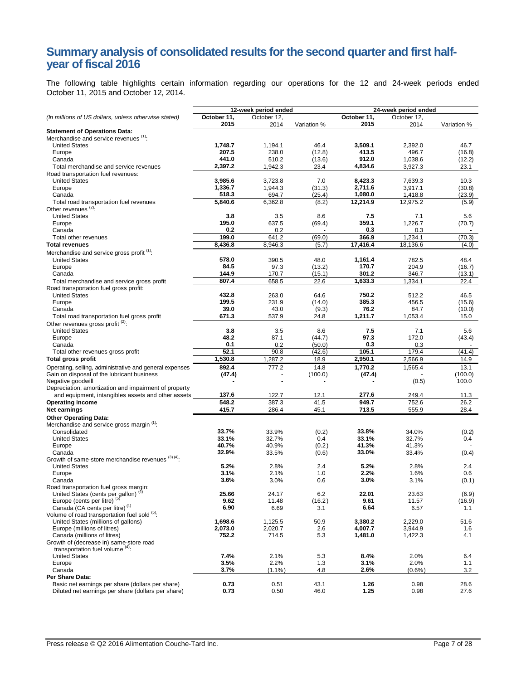# **Summary analysis of consolidated results for the second quarter and first halfyear of fiscal 2016**

The following table highlights certain information regarding our operations for the 12 and 24-week periods ended October 11, 2015 and October 12, 2014.

| October 12,<br>October 11,<br>October 12,<br>(In millions of US dollars, unless otherwise stated)<br>2015<br>2015<br>2014<br>Variation %<br>2014<br>Variation %<br><b>Statement of Operations Data:</b><br>Merchandise and service revenues (1):<br>3,509.1<br><b>United States</b><br>1,748.7<br>46.4<br>1,194.1<br>2,392.0<br>46.7<br>207.5<br>238.0<br>413.5<br>(12.8)<br>496.7<br>(16.8)<br>Europe<br>441.0<br>912.0<br>Canada<br>510.2<br>(13.6)<br>1,038.6<br>(12.2)<br>2,397.2<br>1,942.3<br>23.4<br>4,834.6<br>3,927.3<br>Total merchandise and service revenues<br>23.1<br>Road transportation fuel revenues:<br>7.0<br><b>United States</b><br>3,985.6<br>3,723.8<br>8,423.3<br>7,639.3<br>10.3<br>1,336.7<br>(31.3)<br>2,711.6<br>Europe<br>1,944.3<br>3,917.1<br>(30.8)<br>Canada<br>518.3<br>694.7<br>(25.4)<br>1,080.0<br>1,418.8<br>(23.9)<br>5,840.6<br>6,362.8<br>(8.2)<br>12,214.9<br>12,975.2<br>(5.9)<br>Total road transportation fuel revenues<br>Other revenues <sup>(2)</sup> :<br><b>United States</b><br>3.5<br>8.6<br>3.8<br>7.5<br>7.1<br>5.6<br>195.0<br>Europe<br>637.5<br>(69.4)<br>359.1<br>1,226.7<br>(70.7)<br>Canada<br>0.2<br>0.2<br>0.3<br>0.3<br>199.0<br>(69.0)<br>366.9<br>1,234.1<br>Total other revenues<br>641.2<br>(70.3)<br>17,416.4<br><b>Total revenues</b><br>8,436.8<br>8,946.3<br>18,136.6<br>(5.7)<br>(4.0)<br>Merchandise and service gross profit <sup>(1)</sup> :<br>578.0<br>390.5<br>48.0<br>1,161.4<br><b>United States</b><br>782.5<br>48.4<br>84.5<br>97.3<br>204.9<br>Europe<br>(13.2)<br>170.7<br>(16.7)<br>144.9<br>301.2<br>346.7<br>Canada<br>170.7<br>(15.1)<br>(13.1)<br>807.4<br>658.5<br>1,633.3<br>1,334.1<br>Total merchandise and service gross profit<br>22.6<br>22.4<br>Road transportation fuel gross profit:<br><b>United States</b><br>432.8<br>263.0<br>64.6<br>750.2<br>512.2<br>46.5<br>199.5<br>Europe<br>231.9<br>(14.0)<br>385.3<br>456.5<br>(15.6)<br>39.0<br>76.2<br>Canada<br>43.0<br>(9.3)<br>84.7<br>(10.0)<br>671.3<br>537.9<br>1,211.7<br>Total road transportation fuel gross profit<br>24.8<br>1,053.4<br>15.0<br>Other revenues gross profit <sup>(2)</sup> :<br><b>United States</b><br>3.8<br>3.5<br>8.6<br>7.5<br>7.1<br>5.6<br>Europe<br>48.2<br>87.1<br>(44.7)<br>97.3<br>172.0<br>(43.4)<br>0.1<br>0.3<br>Canada<br>0.2<br>(50.0)<br>0.3<br>$\blacksquare$<br>52.1<br>105.1<br>90.8<br>(42.6)<br>179.4<br>Total other revenues gross profit<br>(41.4)<br>1,530.8<br>2,950.1<br><b>Total gross profit</b><br>1,287.2<br>18.9<br>2,566.9<br>14.9<br>13.1<br>892.4<br>777.2<br>14.8<br>1,770.2<br>1,565.4<br>Operating, selling, administrative and general expenses<br>Gain on disposal of the lubricant business<br>(47.4)<br>(100.0)<br>(47.4)<br>(100.0)<br>Negative goodwill<br>(0.5)<br>100.0<br>Depreciation, amortization and impairment of property<br>137.6<br>12.1<br>277.6<br>and equipment, intangibles assets and other assets<br>122.7<br>249.4<br>11.3<br>548.2<br>949.7<br><b>Operating income</b><br>41.5<br>752.6<br>387.3<br>26.2<br>415.7<br>45.1<br>713.5<br>555.9<br>Net earnings<br>286.4<br>28.4<br><b>Other Operating Data:</b><br>Merchandise and service gross margin <sup>(1)</sup> :<br>33.7%<br>33.8%<br>Consolidated<br>33.9%<br>(0.2)<br>34.0%<br>(0.2)<br>33.1%<br>33.1%<br><b>United States</b><br>32.7%<br>0.4<br>32.7%<br>0.4<br>40.7%<br>41.3%<br>Europe<br>40.9%<br>(0.2)<br>41.3%<br>Canada<br>32.9%<br>33.5%<br>(0.6)<br>33.0%<br>33.4%<br>(0.4)<br>Growth of same-store merchandise revenues (3)(4).<br><b>United States</b><br>5.2%<br>2.8%<br>2.4<br>5.2%<br>2.8%<br>2.4<br>Europe<br>3.1%<br>2.1%<br>1.0<br>2.2%<br>1.6%<br>0.6<br>3.0%<br>3.0%<br>3.1%<br>3.6%<br>0.6<br>(0.1)<br>Canada<br>Road transportation fuel gross margin:<br>United States (cents per gallon) <sup>(4)</sup><br>25.66<br>22.01<br>24.17<br>6.2<br>23.63<br>(6.9)<br>Europe (cents per litre) <sup>(5)</sup><br>9.62<br>11.48<br>(16.2)<br>9.61<br>11.57<br>(16.9)<br>Canada (CA cents per litre) <sup>(4)</sup><br>6.90<br>6.64<br>6.69<br>3.1<br>6.57<br>1.1<br>Volume of road transportation fuel sold (5).<br>United States (millions of gallons)<br>1,698.6<br>3,380.2<br>1,125.5<br>50.9<br>2,229.0<br>51.6<br>Europe (millions of litres)<br>2,073.0<br>2,020.7<br>4,007.7<br>2.6<br>3,944.9<br>1.6<br>752.2<br>5.3<br>1,481.0<br>1,422.3<br>Canada (millions of litres)<br>714.5<br>4.1<br>Growth of (decrease in) same-store road<br>transportation fuel volume $(4)$ :<br><b>United States</b><br>7.4%<br>2.1%<br>8.4%<br>2.0%<br>5.3<br>6.4<br>3.5%<br>2.2%<br>1.3<br>3.1%<br>2.0%<br>Europe<br>1.1<br>Canada<br>3.7%<br>$(1.1\%)$<br>4.8<br>2.6%<br>$(0.6\%)$<br>3.2<br>Per Share Data:<br>0.73<br>0.98<br>Basic net earnings per share (dollars per share)<br>0.51<br>43.1<br>1.26<br>28.6<br>0.73<br>0.50<br>46.0<br>1.25<br>Diluted net earnings per share (dollars per share)<br>0.98<br>27.6 |             | 12-week period ended | 24-week period ended |  |  |
|------------------------------------------------------------------------------------------------------------------------------------------------------------------------------------------------------------------------------------------------------------------------------------------------------------------------------------------------------------------------------------------------------------------------------------------------------------------------------------------------------------------------------------------------------------------------------------------------------------------------------------------------------------------------------------------------------------------------------------------------------------------------------------------------------------------------------------------------------------------------------------------------------------------------------------------------------------------------------------------------------------------------------------------------------------------------------------------------------------------------------------------------------------------------------------------------------------------------------------------------------------------------------------------------------------------------------------------------------------------------------------------------------------------------------------------------------------------------------------------------------------------------------------------------------------------------------------------------------------------------------------------------------------------------------------------------------------------------------------------------------------------------------------------------------------------------------------------------------------------------------------------------------------------------------------------------------------------------------------------------------------------------------------------------------------------------------------------------------------------------------------------------------------------------------------------------------------------------------------------------------------------------------------------------------------------------------------------------------------------------------------------------------------------------------------------------------------------------------------------------------------------------------------------------------------------------------------------------------------------------------------------------------------------------------------------------------------------------------------------------------------------------------------------------------------------------------------------------------------------------------------------------------------------------------------------------------------------------------------------------------------------------------------------------------------------------------------------------------------------------------------------------------------------------------------------------------------------------------------------------------------------------------------------------------------------------------------------------------------------------------------------------------------------------------------------------------------------------------------------------------------------------------------------------------------------------------------------------------------------------------------------------------------------------------------------------------------------------------------------------------------------------------------------------------------------------------------------------------------------------------------------------------------------------------------------------------------------------------------------------------------------------------------------------------------------------------------------------------------------------------------------------------------------------------------------------------------------------------------------------------------------------------------------------------------------------------------------------------------------------------------------------------------------------------------------------------------------------------------------------------------------------------------------------------------------------------------------------------------------------------------------------------------------------------------------------------------------------------------------------------------------------------------------------------------------------------------------------------------------------------------------------------------------------------------|-------------|----------------------|----------------------|--|--|
|                                                                                                                                                                                                                                                                                                                                                                                                                                                                                                                                                                                                                                                                                                                                                                                                                                                                                                                                                                                                                                                                                                                                                                                                                                                                                                                                                                                                                                                                                                                                                                                                                                                                                                                                                                                                                                                                                                                                                                                                                                                                                                                                                                                                                                                                                                                                                                                                                                                                                                                                                                                                                                                                                                                                                                                                                                                                                                                                                                                                                                                                                                                                                                                                                                                                                                                                                                                                                                                                                                                                                                                                                                                                                                                                                                                                                                                                                                                                                                                                                                                                                                                                                                                                                                                                                                                                                                                                                                                                                                                                                                                                                                                                                                                                                                                                                                                                                                                                    | October 11, |                      |                      |  |  |
|                                                                                                                                                                                                                                                                                                                                                                                                                                                                                                                                                                                                                                                                                                                                                                                                                                                                                                                                                                                                                                                                                                                                                                                                                                                                                                                                                                                                                                                                                                                                                                                                                                                                                                                                                                                                                                                                                                                                                                                                                                                                                                                                                                                                                                                                                                                                                                                                                                                                                                                                                                                                                                                                                                                                                                                                                                                                                                                                                                                                                                                                                                                                                                                                                                                                                                                                                                                                                                                                                                                                                                                                                                                                                                                                                                                                                                                                                                                                                                                                                                                                                                                                                                                                                                                                                                                                                                                                                                                                                                                                                                                                                                                                                                                                                                                                                                                                                                                                    |             |                      |                      |  |  |
|                                                                                                                                                                                                                                                                                                                                                                                                                                                                                                                                                                                                                                                                                                                                                                                                                                                                                                                                                                                                                                                                                                                                                                                                                                                                                                                                                                                                                                                                                                                                                                                                                                                                                                                                                                                                                                                                                                                                                                                                                                                                                                                                                                                                                                                                                                                                                                                                                                                                                                                                                                                                                                                                                                                                                                                                                                                                                                                                                                                                                                                                                                                                                                                                                                                                                                                                                                                                                                                                                                                                                                                                                                                                                                                                                                                                                                                                                                                                                                                                                                                                                                                                                                                                                                                                                                                                                                                                                                                                                                                                                                                                                                                                                                                                                                                                                                                                                                                                    |             |                      |                      |  |  |
|                                                                                                                                                                                                                                                                                                                                                                                                                                                                                                                                                                                                                                                                                                                                                                                                                                                                                                                                                                                                                                                                                                                                                                                                                                                                                                                                                                                                                                                                                                                                                                                                                                                                                                                                                                                                                                                                                                                                                                                                                                                                                                                                                                                                                                                                                                                                                                                                                                                                                                                                                                                                                                                                                                                                                                                                                                                                                                                                                                                                                                                                                                                                                                                                                                                                                                                                                                                                                                                                                                                                                                                                                                                                                                                                                                                                                                                                                                                                                                                                                                                                                                                                                                                                                                                                                                                                                                                                                                                                                                                                                                                                                                                                                                                                                                                                                                                                                                                                    |             |                      |                      |  |  |
|                                                                                                                                                                                                                                                                                                                                                                                                                                                                                                                                                                                                                                                                                                                                                                                                                                                                                                                                                                                                                                                                                                                                                                                                                                                                                                                                                                                                                                                                                                                                                                                                                                                                                                                                                                                                                                                                                                                                                                                                                                                                                                                                                                                                                                                                                                                                                                                                                                                                                                                                                                                                                                                                                                                                                                                                                                                                                                                                                                                                                                                                                                                                                                                                                                                                                                                                                                                                                                                                                                                                                                                                                                                                                                                                                                                                                                                                                                                                                                                                                                                                                                                                                                                                                                                                                                                                                                                                                                                                                                                                                                                                                                                                                                                                                                                                                                                                                                                                    |             |                      |                      |  |  |
|                                                                                                                                                                                                                                                                                                                                                                                                                                                                                                                                                                                                                                                                                                                                                                                                                                                                                                                                                                                                                                                                                                                                                                                                                                                                                                                                                                                                                                                                                                                                                                                                                                                                                                                                                                                                                                                                                                                                                                                                                                                                                                                                                                                                                                                                                                                                                                                                                                                                                                                                                                                                                                                                                                                                                                                                                                                                                                                                                                                                                                                                                                                                                                                                                                                                                                                                                                                                                                                                                                                                                                                                                                                                                                                                                                                                                                                                                                                                                                                                                                                                                                                                                                                                                                                                                                                                                                                                                                                                                                                                                                                                                                                                                                                                                                                                                                                                                                                                    |             |                      |                      |  |  |
|                                                                                                                                                                                                                                                                                                                                                                                                                                                                                                                                                                                                                                                                                                                                                                                                                                                                                                                                                                                                                                                                                                                                                                                                                                                                                                                                                                                                                                                                                                                                                                                                                                                                                                                                                                                                                                                                                                                                                                                                                                                                                                                                                                                                                                                                                                                                                                                                                                                                                                                                                                                                                                                                                                                                                                                                                                                                                                                                                                                                                                                                                                                                                                                                                                                                                                                                                                                                                                                                                                                                                                                                                                                                                                                                                                                                                                                                                                                                                                                                                                                                                                                                                                                                                                                                                                                                                                                                                                                                                                                                                                                                                                                                                                                                                                                                                                                                                                                                    |             |                      |                      |  |  |
|                                                                                                                                                                                                                                                                                                                                                                                                                                                                                                                                                                                                                                                                                                                                                                                                                                                                                                                                                                                                                                                                                                                                                                                                                                                                                                                                                                                                                                                                                                                                                                                                                                                                                                                                                                                                                                                                                                                                                                                                                                                                                                                                                                                                                                                                                                                                                                                                                                                                                                                                                                                                                                                                                                                                                                                                                                                                                                                                                                                                                                                                                                                                                                                                                                                                                                                                                                                                                                                                                                                                                                                                                                                                                                                                                                                                                                                                                                                                                                                                                                                                                                                                                                                                                                                                                                                                                                                                                                                                                                                                                                                                                                                                                                                                                                                                                                                                                                                                    |             |                      |                      |  |  |
|                                                                                                                                                                                                                                                                                                                                                                                                                                                                                                                                                                                                                                                                                                                                                                                                                                                                                                                                                                                                                                                                                                                                                                                                                                                                                                                                                                                                                                                                                                                                                                                                                                                                                                                                                                                                                                                                                                                                                                                                                                                                                                                                                                                                                                                                                                                                                                                                                                                                                                                                                                                                                                                                                                                                                                                                                                                                                                                                                                                                                                                                                                                                                                                                                                                                                                                                                                                                                                                                                                                                                                                                                                                                                                                                                                                                                                                                                                                                                                                                                                                                                                                                                                                                                                                                                                                                                                                                                                                                                                                                                                                                                                                                                                                                                                                                                                                                                                                                    |             |                      |                      |  |  |
|                                                                                                                                                                                                                                                                                                                                                                                                                                                                                                                                                                                                                                                                                                                                                                                                                                                                                                                                                                                                                                                                                                                                                                                                                                                                                                                                                                                                                                                                                                                                                                                                                                                                                                                                                                                                                                                                                                                                                                                                                                                                                                                                                                                                                                                                                                                                                                                                                                                                                                                                                                                                                                                                                                                                                                                                                                                                                                                                                                                                                                                                                                                                                                                                                                                                                                                                                                                                                                                                                                                                                                                                                                                                                                                                                                                                                                                                                                                                                                                                                                                                                                                                                                                                                                                                                                                                                                                                                                                                                                                                                                                                                                                                                                                                                                                                                                                                                                                                    |             |                      |                      |  |  |
|                                                                                                                                                                                                                                                                                                                                                                                                                                                                                                                                                                                                                                                                                                                                                                                                                                                                                                                                                                                                                                                                                                                                                                                                                                                                                                                                                                                                                                                                                                                                                                                                                                                                                                                                                                                                                                                                                                                                                                                                                                                                                                                                                                                                                                                                                                                                                                                                                                                                                                                                                                                                                                                                                                                                                                                                                                                                                                                                                                                                                                                                                                                                                                                                                                                                                                                                                                                                                                                                                                                                                                                                                                                                                                                                                                                                                                                                                                                                                                                                                                                                                                                                                                                                                                                                                                                                                                                                                                                                                                                                                                                                                                                                                                                                                                                                                                                                                                                                    |             |                      |                      |  |  |
|                                                                                                                                                                                                                                                                                                                                                                                                                                                                                                                                                                                                                                                                                                                                                                                                                                                                                                                                                                                                                                                                                                                                                                                                                                                                                                                                                                                                                                                                                                                                                                                                                                                                                                                                                                                                                                                                                                                                                                                                                                                                                                                                                                                                                                                                                                                                                                                                                                                                                                                                                                                                                                                                                                                                                                                                                                                                                                                                                                                                                                                                                                                                                                                                                                                                                                                                                                                                                                                                                                                                                                                                                                                                                                                                                                                                                                                                                                                                                                                                                                                                                                                                                                                                                                                                                                                                                                                                                                                                                                                                                                                                                                                                                                                                                                                                                                                                                                                                    |             |                      |                      |  |  |
|                                                                                                                                                                                                                                                                                                                                                                                                                                                                                                                                                                                                                                                                                                                                                                                                                                                                                                                                                                                                                                                                                                                                                                                                                                                                                                                                                                                                                                                                                                                                                                                                                                                                                                                                                                                                                                                                                                                                                                                                                                                                                                                                                                                                                                                                                                                                                                                                                                                                                                                                                                                                                                                                                                                                                                                                                                                                                                                                                                                                                                                                                                                                                                                                                                                                                                                                                                                                                                                                                                                                                                                                                                                                                                                                                                                                                                                                                                                                                                                                                                                                                                                                                                                                                                                                                                                                                                                                                                                                                                                                                                                                                                                                                                                                                                                                                                                                                                                                    |             |                      |                      |  |  |
|                                                                                                                                                                                                                                                                                                                                                                                                                                                                                                                                                                                                                                                                                                                                                                                                                                                                                                                                                                                                                                                                                                                                                                                                                                                                                                                                                                                                                                                                                                                                                                                                                                                                                                                                                                                                                                                                                                                                                                                                                                                                                                                                                                                                                                                                                                                                                                                                                                                                                                                                                                                                                                                                                                                                                                                                                                                                                                                                                                                                                                                                                                                                                                                                                                                                                                                                                                                                                                                                                                                                                                                                                                                                                                                                                                                                                                                                                                                                                                                                                                                                                                                                                                                                                                                                                                                                                                                                                                                                                                                                                                                                                                                                                                                                                                                                                                                                                                                                    |             |                      |                      |  |  |
|                                                                                                                                                                                                                                                                                                                                                                                                                                                                                                                                                                                                                                                                                                                                                                                                                                                                                                                                                                                                                                                                                                                                                                                                                                                                                                                                                                                                                                                                                                                                                                                                                                                                                                                                                                                                                                                                                                                                                                                                                                                                                                                                                                                                                                                                                                                                                                                                                                                                                                                                                                                                                                                                                                                                                                                                                                                                                                                                                                                                                                                                                                                                                                                                                                                                                                                                                                                                                                                                                                                                                                                                                                                                                                                                                                                                                                                                                                                                                                                                                                                                                                                                                                                                                                                                                                                                                                                                                                                                                                                                                                                                                                                                                                                                                                                                                                                                                                                                    |             |                      |                      |  |  |
|                                                                                                                                                                                                                                                                                                                                                                                                                                                                                                                                                                                                                                                                                                                                                                                                                                                                                                                                                                                                                                                                                                                                                                                                                                                                                                                                                                                                                                                                                                                                                                                                                                                                                                                                                                                                                                                                                                                                                                                                                                                                                                                                                                                                                                                                                                                                                                                                                                                                                                                                                                                                                                                                                                                                                                                                                                                                                                                                                                                                                                                                                                                                                                                                                                                                                                                                                                                                                                                                                                                                                                                                                                                                                                                                                                                                                                                                                                                                                                                                                                                                                                                                                                                                                                                                                                                                                                                                                                                                                                                                                                                                                                                                                                                                                                                                                                                                                                                                    |             |                      |                      |  |  |
|                                                                                                                                                                                                                                                                                                                                                                                                                                                                                                                                                                                                                                                                                                                                                                                                                                                                                                                                                                                                                                                                                                                                                                                                                                                                                                                                                                                                                                                                                                                                                                                                                                                                                                                                                                                                                                                                                                                                                                                                                                                                                                                                                                                                                                                                                                                                                                                                                                                                                                                                                                                                                                                                                                                                                                                                                                                                                                                                                                                                                                                                                                                                                                                                                                                                                                                                                                                                                                                                                                                                                                                                                                                                                                                                                                                                                                                                                                                                                                                                                                                                                                                                                                                                                                                                                                                                                                                                                                                                                                                                                                                                                                                                                                                                                                                                                                                                                                                                    |             |                      |                      |  |  |
|                                                                                                                                                                                                                                                                                                                                                                                                                                                                                                                                                                                                                                                                                                                                                                                                                                                                                                                                                                                                                                                                                                                                                                                                                                                                                                                                                                                                                                                                                                                                                                                                                                                                                                                                                                                                                                                                                                                                                                                                                                                                                                                                                                                                                                                                                                                                                                                                                                                                                                                                                                                                                                                                                                                                                                                                                                                                                                                                                                                                                                                                                                                                                                                                                                                                                                                                                                                                                                                                                                                                                                                                                                                                                                                                                                                                                                                                                                                                                                                                                                                                                                                                                                                                                                                                                                                                                                                                                                                                                                                                                                                                                                                                                                                                                                                                                                                                                                                                    |             |                      |                      |  |  |
|                                                                                                                                                                                                                                                                                                                                                                                                                                                                                                                                                                                                                                                                                                                                                                                                                                                                                                                                                                                                                                                                                                                                                                                                                                                                                                                                                                                                                                                                                                                                                                                                                                                                                                                                                                                                                                                                                                                                                                                                                                                                                                                                                                                                                                                                                                                                                                                                                                                                                                                                                                                                                                                                                                                                                                                                                                                                                                                                                                                                                                                                                                                                                                                                                                                                                                                                                                                                                                                                                                                                                                                                                                                                                                                                                                                                                                                                                                                                                                                                                                                                                                                                                                                                                                                                                                                                                                                                                                                                                                                                                                                                                                                                                                                                                                                                                                                                                                                                    |             |                      |                      |  |  |
|                                                                                                                                                                                                                                                                                                                                                                                                                                                                                                                                                                                                                                                                                                                                                                                                                                                                                                                                                                                                                                                                                                                                                                                                                                                                                                                                                                                                                                                                                                                                                                                                                                                                                                                                                                                                                                                                                                                                                                                                                                                                                                                                                                                                                                                                                                                                                                                                                                                                                                                                                                                                                                                                                                                                                                                                                                                                                                                                                                                                                                                                                                                                                                                                                                                                                                                                                                                                                                                                                                                                                                                                                                                                                                                                                                                                                                                                                                                                                                                                                                                                                                                                                                                                                                                                                                                                                                                                                                                                                                                                                                                                                                                                                                                                                                                                                                                                                                                                    |             |                      |                      |  |  |
|                                                                                                                                                                                                                                                                                                                                                                                                                                                                                                                                                                                                                                                                                                                                                                                                                                                                                                                                                                                                                                                                                                                                                                                                                                                                                                                                                                                                                                                                                                                                                                                                                                                                                                                                                                                                                                                                                                                                                                                                                                                                                                                                                                                                                                                                                                                                                                                                                                                                                                                                                                                                                                                                                                                                                                                                                                                                                                                                                                                                                                                                                                                                                                                                                                                                                                                                                                                                                                                                                                                                                                                                                                                                                                                                                                                                                                                                                                                                                                                                                                                                                                                                                                                                                                                                                                                                                                                                                                                                                                                                                                                                                                                                                                                                                                                                                                                                                                                                    |             |                      |                      |  |  |
|                                                                                                                                                                                                                                                                                                                                                                                                                                                                                                                                                                                                                                                                                                                                                                                                                                                                                                                                                                                                                                                                                                                                                                                                                                                                                                                                                                                                                                                                                                                                                                                                                                                                                                                                                                                                                                                                                                                                                                                                                                                                                                                                                                                                                                                                                                                                                                                                                                                                                                                                                                                                                                                                                                                                                                                                                                                                                                                                                                                                                                                                                                                                                                                                                                                                                                                                                                                                                                                                                                                                                                                                                                                                                                                                                                                                                                                                                                                                                                                                                                                                                                                                                                                                                                                                                                                                                                                                                                                                                                                                                                                                                                                                                                                                                                                                                                                                                                                                    |             |                      |                      |  |  |
|                                                                                                                                                                                                                                                                                                                                                                                                                                                                                                                                                                                                                                                                                                                                                                                                                                                                                                                                                                                                                                                                                                                                                                                                                                                                                                                                                                                                                                                                                                                                                                                                                                                                                                                                                                                                                                                                                                                                                                                                                                                                                                                                                                                                                                                                                                                                                                                                                                                                                                                                                                                                                                                                                                                                                                                                                                                                                                                                                                                                                                                                                                                                                                                                                                                                                                                                                                                                                                                                                                                                                                                                                                                                                                                                                                                                                                                                                                                                                                                                                                                                                                                                                                                                                                                                                                                                                                                                                                                                                                                                                                                                                                                                                                                                                                                                                                                                                                                                    |             |                      |                      |  |  |
|                                                                                                                                                                                                                                                                                                                                                                                                                                                                                                                                                                                                                                                                                                                                                                                                                                                                                                                                                                                                                                                                                                                                                                                                                                                                                                                                                                                                                                                                                                                                                                                                                                                                                                                                                                                                                                                                                                                                                                                                                                                                                                                                                                                                                                                                                                                                                                                                                                                                                                                                                                                                                                                                                                                                                                                                                                                                                                                                                                                                                                                                                                                                                                                                                                                                                                                                                                                                                                                                                                                                                                                                                                                                                                                                                                                                                                                                                                                                                                                                                                                                                                                                                                                                                                                                                                                                                                                                                                                                                                                                                                                                                                                                                                                                                                                                                                                                                                                                    |             |                      |                      |  |  |
|                                                                                                                                                                                                                                                                                                                                                                                                                                                                                                                                                                                                                                                                                                                                                                                                                                                                                                                                                                                                                                                                                                                                                                                                                                                                                                                                                                                                                                                                                                                                                                                                                                                                                                                                                                                                                                                                                                                                                                                                                                                                                                                                                                                                                                                                                                                                                                                                                                                                                                                                                                                                                                                                                                                                                                                                                                                                                                                                                                                                                                                                                                                                                                                                                                                                                                                                                                                                                                                                                                                                                                                                                                                                                                                                                                                                                                                                                                                                                                                                                                                                                                                                                                                                                                                                                                                                                                                                                                                                                                                                                                                                                                                                                                                                                                                                                                                                                                                                    |             |                      |                      |  |  |
|                                                                                                                                                                                                                                                                                                                                                                                                                                                                                                                                                                                                                                                                                                                                                                                                                                                                                                                                                                                                                                                                                                                                                                                                                                                                                                                                                                                                                                                                                                                                                                                                                                                                                                                                                                                                                                                                                                                                                                                                                                                                                                                                                                                                                                                                                                                                                                                                                                                                                                                                                                                                                                                                                                                                                                                                                                                                                                                                                                                                                                                                                                                                                                                                                                                                                                                                                                                                                                                                                                                                                                                                                                                                                                                                                                                                                                                                                                                                                                                                                                                                                                                                                                                                                                                                                                                                                                                                                                                                                                                                                                                                                                                                                                                                                                                                                                                                                                                                    |             |                      |                      |  |  |
|                                                                                                                                                                                                                                                                                                                                                                                                                                                                                                                                                                                                                                                                                                                                                                                                                                                                                                                                                                                                                                                                                                                                                                                                                                                                                                                                                                                                                                                                                                                                                                                                                                                                                                                                                                                                                                                                                                                                                                                                                                                                                                                                                                                                                                                                                                                                                                                                                                                                                                                                                                                                                                                                                                                                                                                                                                                                                                                                                                                                                                                                                                                                                                                                                                                                                                                                                                                                                                                                                                                                                                                                                                                                                                                                                                                                                                                                                                                                                                                                                                                                                                                                                                                                                                                                                                                                                                                                                                                                                                                                                                                                                                                                                                                                                                                                                                                                                                                                    |             |                      |                      |  |  |
|                                                                                                                                                                                                                                                                                                                                                                                                                                                                                                                                                                                                                                                                                                                                                                                                                                                                                                                                                                                                                                                                                                                                                                                                                                                                                                                                                                                                                                                                                                                                                                                                                                                                                                                                                                                                                                                                                                                                                                                                                                                                                                                                                                                                                                                                                                                                                                                                                                                                                                                                                                                                                                                                                                                                                                                                                                                                                                                                                                                                                                                                                                                                                                                                                                                                                                                                                                                                                                                                                                                                                                                                                                                                                                                                                                                                                                                                                                                                                                                                                                                                                                                                                                                                                                                                                                                                                                                                                                                                                                                                                                                                                                                                                                                                                                                                                                                                                                                                    |             |                      |                      |  |  |
|                                                                                                                                                                                                                                                                                                                                                                                                                                                                                                                                                                                                                                                                                                                                                                                                                                                                                                                                                                                                                                                                                                                                                                                                                                                                                                                                                                                                                                                                                                                                                                                                                                                                                                                                                                                                                                                                                                                                                                                                                                                                                                                                                                                                                                                                                                                                                                                                                                                                                                                                                                                                                                                                                                                                                                                                                                                                                                                                                                                                                                                                                                                                                                                                                                                                                                                                                                                                                                                                                                                                                                                                                                                                                                                                                                                                                                                                                                                                                                                                                                                                                                                                                                                                                                                                                                                                                                                                                                                                                                                                                                                                                                                                                                                                                                                                                                                                                                                                    |             |                      |                      |  |  |
|                                                                                                                                                                                                                                                                                                                                                                                                                                                                                                                                                                                                                                                                                                                                                                                                                                                                                                                                                                                                                                                                                                                                                                                                                                                                                                                                                                                                                                                                                                                                                                                                                                                                                                                                                                                                                                                                                                                                                                                                                                                                                                                                                                                                                                                                                                                                                                                                                                                                                                                                                                                                                                                                                                                                                                                                                                                                                                                                                                                                                                                                                                                                                                                                                                                                                                                                                                                                                                                                                                                                                                                                                                                                                                                                                                                                                                                                                                                                                                                                                                                                                                                                                                                                                                                                                                                                                                                                                                                                                                                                                                                                                                                                                                                                                                                                                                                                                                                                    |             |                      |                      |  |  |
|                                                                                                                                                                                                                                                                                                                                                                                                                                                                                                                                                                                                                                                                                                                                                                                                                                                                                                                                                                                                                                                                                                                                                                                                                                                                                                                                                                                                                                                                                                                                                                                                                                                                                                                                                                                                                                                                                                                                                                                                                                                                                                                                                                                                                                                                                                                                                                                                                                                                                                                                                                                                                                                                                                                                                                                                                                                                                                                                                                                                                                                                                                                                                                                                                                                                                                                                                                                                                                                                                                                                                                                                                                                                                                                                                                                                                                                                                                                                                                                                                                                                                                                                                                                                                                                                                                                                                                                                                                                                                                                                                                                                                                                                                                                                                                                                                                                                                                                                    |             |                      |                      |  |  |
|                                                                                                                                                                                                                                                                                                                                                                                                                                                                                                                                                                                                                                                                                                                                                                                                                                                                                                                                                                                                                                                                                                                                                                                                                                                                                                                                                                                                                                                                                                                                                                                                                                                                                                                                                                                                                                                                                                                                                                                                                                                                                                                                                                                                                                                                                                                                                                                                                                                                                                                                                                                                                                                                                                                                                                                                                                                                                                                                                                                                                                                                                                                                                                                                                                                                                                                                                                                                                                                                                                                                                                                                                                                                                                                                                                                                                                                                                                                                                                                                                                                                                                                                                                                                                                                                                                                                                                                                                                                                                                                                                                                                                                                                                                                                                                                                                                                                                                                                    |             |                      |                      |  |  |
|                                                                                                                                                                                                                                                                                                                                                                                                                                                                                                                                                                                                                                                                                                                                                                                                                                                                                                                                                                                                                                                                                                                                                                                                                                                                                                                                                                                                                                                                                                                                                                                                                                                                                                                                                                                                                                                                                                                                                                                                                                                                                                                                                                                                                                                                                                                                                                                                                                                                                                                                                                                                                                                                                                                                                                                                                                                                                                                                                                                                                                                                                                                                                                                                                                                                                                                                                                                                                                                                                                                                                                                                                                                                                                                                                                                                                                                                                                                                                                                                                                                                                                                                                                                                                                                                                                                                                                                                                                                                                                                                                                                                                                                                                                                                                                                                                                                                                                                                    |             |                      |                      |  |  |
|                                                                                                                                                                                                                                                                                                                                                                                                                                                                                                                                                                                                                                                                                                                                                                                                                                                                                                                                                                                                                                                                                                                                                                                                                                                                                                                                                                                                                                                                                                                                                                                                                                                                                                                                                                                                                                                                                                                                                                                                                                                                                                                                                                                                                                                                                                                                                                                                                                                                                                                                                                                                                                                                                                                                                                                                                                                                                                                                                                                                                                                                                                                                                                                                                                                                                                                                                                                                                                                                                                                                                                                                                                                                                                                                                                                                                                                                                                                                                                                                                                                                                                                                                                                                                                                                                                                                                                                                                                                                                                                                                                                                                                                                                                                                                                                                                                                                                                                                    |             |                      |                      |  |  |
|                                                                                                                                                                                                                                                                                                                                                                                                                                                                                                                                                                                                                                                                                                                                                                                                                                                                                                                                                                                                                                                                                                                                                                                                                                                                                                                                                                                                                                                                                                                                                                                                                                                                                                                                                                                                                                                                                                                                                                                                                                                                                                                                                                                                                                                                                                                                                                                                                                                                                                                                                                                                                                                                                                                                                                                                                                                                                                                                                                                                                                                                                                                                                                                                                                                                                                                                                                                                                                                                                                                                                                                                                                                                                                                                                                                                                                                                                                                                                                                                                                                                                                                                                                                                                                                                                                                                                                                                                                                                                                                                                                                                                                                                                                                                                                                                                                                                                                                                    |             |                      |                      |  |  |
|                                                                                                                                                                                                                                                                                                                                                                                                                                                                                                                                                                                                                                                                                                                                                                                                                                                                                                                                                                                                                                                                                                                                                                                                                                                                                                                                                                                                                                                                                                                                                                                                                                                                                                                                                                                                                                                                                                                                                                                                                                                                                                                                                                                                                                                                                                                                                                                                                                                                                                                                                                                                                                                                                                                                                                                                                                                                                                                                                                                                                                                                                                                                                                                                                                                                                                                                                                                                                                                                                                                                                                                                                                                                                                                                                                                                                                                                                                                                                                                                                                                                                                                                                                                                                                                                                                                                                                                                                                                                                                                                                                                                                                                                                                                                                                                                                                                                                                                                    |             |                      |                      |  |  |
|                                                                                                                                                                                                                                                                                                                                                                                                                                                                                                                                                                                                                                                                                                                                                                                                                                                                                                                                                                                                                                                                                                                                                                                                                                                                                                                                                                                                                                                                                                                                                                                                                                                                                                                                                                                                                                                                                                                                                                                                                                                                                                                                                                                                                                                                                                                                                                                                                                                                                                                                                                                                                                                                                                                                                                                                                                                                                                                                                                                                                                                                                                                                                                                                                                                                                                                                                                                                                                                                                                                                                                                                                                                                                                                                                                                                                                                                                                                                                                                                                                                                                                                                                                                                                                                                                                                                                                                                                                                                                                                                                                                                                                                                                                                                                                                                                                                                                                                                    |             |                      |                      |  |  |
|                                                                                                                                                                                                                                                                                                                                                                                                                                                                                                                                                                                                                                                                                                                                                                                                                                                                                                                                                                                                                                                                                                                                                                                                                                                                                                                                                                                                                                                                                                                                                                                                                                                                                                                                                                                                                                                                                                                                                                                                                                                                                                                                                                                                                                                                                                                                                                                                                                                                                                                                                                                                                                                                                                                                                                                                                                                                                                                                                                                                                                                                                                                                                                                                                                                                                                                                                                                                                                                                                                                                                                                                                                                                                                                                                                                                                                                                                                                                                                                                                                                                                                                                                                                                                                                                                                                                                                                                                                                                                                                                                                                                                                                                                                                                                                                                                                                                                                                                    |             |                      |                      |  |  |
|                                                                                                                                                                                                                                                                                                                                                                                                                                                                                                                                                                                                                                                                                                                                                                                                                                                                                                                                                                                                                                                                                                                                                                                                                                                                                                                                                                                                                                                                                                                                                                                                                                                                                                                                                                                                                                                                                                                                                                                                                                                                                                                                                                                                                                                                                                                                                                                                                                                                                                                                                                                                                                                                                                                                                                                                                                                                                                                                                                                                                                                                                                                                                                                                                                                                                                                                                                                                                                                                                                                                                                                                                                                                                                                                                                                                                                                                                                                                                                                                                                                                                                                                                                                                                                                                                                                                                                                                                                                                                                                                                                                                                                                                                                                                                                                                                                                                                                                                    |             |                      |                      |  |  |
|                                                                                                                                                                                                                                                                                                                                                                                                                                                                                                                                                                                                                                                                                                                                                                                                                                                                                                                                                                                                                                                                                                                                                                                                                                                                                                                                                                                                                                                                                                                                                                                                                                                                                                                                                                                                                                                                                                                                                                                                                                                                                                                                                                                                                                                                                                                                                                                                                                                                                                                                                                                                                                                                                                                                                                                                                                                                                                                                                                                                                                                                                                                                                                                                                                                                                                                                                                                                                                                                                                                                                                                                                                                                                                                                                                                                                                                                                                                                                                                                                                                                                                                                                                                                                                                                                                                                                                                                                                                                                                                                                                                                                                                                                                                                                                                                                                                                                                                                    |             |                      |                      |  |  |
|                                                                                                                                                                                                                                                                                                                                                                                                                                                                                                                                                                                                                                                                                                                                                                                                                                                                                                                                                                                                                                                                                                                                                                                                                                                                                                                                                                                                                                                                                                                                                                                                                                                                                                                                                                                                                                                                                                                                                                                                                                                                                                                                                                                                                                                                                                                                                                                                                                                                                                                                                                                                                                                                                                                                                                                                                                                                                                                                                                                                                                                                                                                                                                                                                                                                                                                                                                                                                                                                                                                                                                                                                                                                                                                                                                                                                                                                                                                                                                                                                                                                                                                                                                                                                                                                                                                                                                                                                                                                                                                                                                                                                                                                                                                                                                                                                                                                                                                                    |             |                      |                      |  |  |
|                                                                                                                                                                                                                                                                                                                                                                                                                                                                                                                                                                                                                                                                                                                                                                                                                                                                                                                                                                                                                                                                                                                                                                                                                                                                                                                                                                                                                                                                                                                                                                                                                                                                                                                                                                                                                                                                                                                                                                                                                                                                                                                                                                                                                                                                                                                                                                                                                                                                                                                                                                                                                                                                                                                                                                                                                                                                                                                                                                                                                                                                                                                                                                                                                                                                                                                                                                                                                                                                                                                                                                                                                                                                                                                                                                                                                                                                                                                                                                                                                                                                                                                                                                                                                                                                                                                                                                                                                                                                                                                                                                                                                                                                                                                                                                                                                                                                                                                                    |             |                      |                      |  |  |
|                                                                                                                                                                                                                                                                                                                                                                                                                                                                                                                                                                                                                                                                                                                                                                                                                                                                                                                                                                                                                                                                                                                                                                                                                                                                                                                                                                                                                                                                                                                                                                                                                                                                                                                                                                                                                                                                                                                                                                                                                                                                                                                                                                                                                                                                                                                                                                                                                                                                                                                                                                                                                                                                                                                                                                                                                                                                                                                                                                                                                                                                                                                                                                                                                                                                                                                                                                                                                                                                                                                                                                                                                                                                                                                                                                                                                                                                                                                                                                                                                                                                                                                                                                                                                                                                                                                                                                                                                                                                                                                                                                                                                                                                                                                                                                                                                                                                                                                                    |             |                      |                      |  |  |
|                                                                                                                                                                                                                                                                                                                                                                                                                                                                                                                                                                                                                                                                                                                                                                                                                                                                                                                                                                                                                                                                                                                                                                                                                                                                                                                                                                                                                                                                                                                                                                                                                                                                                                                                                                                                                                                                                                                                                                                                                                                                                                                                                                                                                                                                                                                                                                                                                                                                                                                                                                                                                                                                                                                                                                                                                                                                                                                                                                                                                                                                                                                                                                                                                                                                                                                                                                                                                                                                                                                                                                                                                                                                                                                                                                                                                                                                                                                                                                                                                                                                                                                                                                                                                                                                                                                                                                                                                                                                                                                                                                                                                                                                                                                                                                                                                                                                                                                                    |             |                      |                      |  |  |
|                                                                                                                                                                                                                                                                                                                                                                                                                                                                                                                                                                                                                                                                                                                                                                                                                                                                                                                                                                                                                                                                                                                                                                                                                                                                                                                                                                                                                                                                                                                                                                                                                                                                                                                                                                                                                                                                                                                                                                                                                                                                                                                                                                                                                                                                                                                                                                                                                                                                                                                                                                                                                                                                                                                                                                                                                                                                                                                                                                                                                                                                                                                                                                                                                                                                                                                                                                                                                                                                                                                                                                                                                                                                                                                                                                                                                                                                                                                                                                                                                                                                                                                                                                                                                                                                                                                                                                                                                                                                                                                                                                                                                                                                                                                                                                                                                                                                                                                                    |             |                      |                      |  |  |
|                                                                                                                                                                                                                                                                                                                                                                                                                                                                                                                                                                                                                                                                                                                                                                                                                                                                                                                                                                                                                                                                                                                                                                                                                                                                                                                                                                                                                                                                                                                                                                                                                                                                                                                                                                                                                                                                                                                                                                                                                                                                                                                                                                                                                                                                                                                                                                                                                                                                                                                                                                                                                                                                                                                                                                                                                                                                                                                                                                                                                                                                                                                                                                                                                                                                                                                                                                                                                                                                                                                                                                                                                                                                                                                                                                                                                                                                                                                                                                                                                                                                                                                                                                                                                                                                                                                                                                                                                                                                                                                                                                                                                                                                                                                                                                                                                                                                                                                                    |             |                      |                      |  |  |
|                                                                                                                                                                                                                                                                                                                                                                                                                                                                                                                                                                                                                                                                                                                                                                                                                                                                                                                                                                                                                                                                                                                                                                                                                                                                                                                                                                                                                                                                                                                                                                                                                                                                                                                                                                                                                                                                                                                                                                                                                                                                                                                                                                                                                                                                                                                                                                                                                                                                                                                                                                                                                                                                                                                                                                                                                                                                                                                                                                                                                                                                                                                                                                                                                                                                                                                                                                                                                                                                                                                                                                                                                                                                                                                                                                                                                                                                                                                                                                                                                                                                                                                                                                                                                                                                                                                                                                                                                                                                                                                                                                                                                                                                                                                                                                                                                                                                                                                                    |             |                      |                      |  |  |
|                                                                                                                                                                                                                                                                                                                                                                                                                                                                                                                                                                                                                                                                                                                                                                                                                                                                                                                                                                                                                                                                                                                                                                                                                                                                                                                                                                                                                                                                                                                                                                                                                                                                                                                                                                                                                                                                                                                                                                                                                                                                                                                                                                                                                                                                                                                                                                                                                                                                                                                                                                                                                                                                                                                                                                                                                                                                                                                                                                                                                                                                                                                                                                                                                                                                                                                                                                                                                                                                                                                                                                                                                                                                                                                                                                                                                                                                                                                                                                                                                                                                                                                                                                                                                                                                                                                                                                                                                                                                                                                                                                                                                                                                                                                                                                                                                                                                                                                                    |             |                      |                      |  |  |
|                                                                                                                                                                                                                                                                                                                                                                                                                                                                                                                                                                                                                                                                                                                                                                                                                                                                                                                                                                                                                                                                                                                                                                                                                                                                                                                                                                                                                                                                                                                                                                                                                                                                                                                                                                                                                                                                                                                                                                                                                                                                                                                                                                                                                                                                                                                                                                                                                                                                                                                                                                                                                                                                                                                                                                                                                                                                                                                                                                                                                                                                                                                                                                                                                                                                                                                                                                                                                                                                                                                                                                                                                                                                                                                                                                                                                                                                                                                                                                                                                                                                                                                                                                                                                                                                                                                                                                                                                                                                                                                                                                                                                                                                                                                                                                                                                                                                                                                                    |             |                      |                      |  |  |
|                                                                                                                                                                                                                                                                                                                                                                                                                                                                                                                                                                                                                                                                                                                                                                                                                                                                                                                                                                                                                                                                                                                                                                                                                                                                                                                                                                                                                                                                                                                                                                                                                                                                                                                                                                                                                                                                                                                                                                                                                                                                                                                                                                                                                                                                                                                                                                                                                                                                                                                                                                                                                                                                                                                                                                                                                                                                                                                                                                                                                                                                                                                                                                                                                                                                                                                                                                                                                                                                                                                                                                                                                                                                                                                                                                                                                                                                                                                                                                                                                                                                                                                                                                                                                                                                                                                                                                                                                                                                                                                                                                                                                                                                                                                                                                                                                                                                                                                                    |             |                      |                      |  |  |
|                                                                                                                                                                                                                                                                                                                                                                                                                                                                                                                                                                                                                                                                                                                                                                                                                                                                                                                                                                                                                                                                                                                                                                                                                                                                                                                                                                                                                                                                                                                                                                                                                                                                                                                                                                                                                                                                                                                                                                                                                                                                                                                                                                                                                                                                                                                                                                                                                                                                                                                                                                                                                                                                                                                                                                                                                                                                                                                                                                                                                                                                                                                                                                                                                                                                                                                                                                                                                                                                                                                                                                                                                                                                                                                                                                                                                                                                                                                                                                                                                                                                                                                                                                                                                                                                                                                                                                                                                                                                                                                                                                                                                                                                                                                                                                                                                                                                                                                                    |             |                      |                      |  |  |
|                                                                                                                                                                                                                                                                                                                                                                                                                                                                                                                                                                                                                                                                                                                                                                                                                                                                                                                                                                                                                                                                                                                                                                                                                                                                                                                                                                                                                                                                                                                                                                                                                                                                                                                                                                                                                                                                                                                                                                                                                                                                                                                                                                                                                                                                                                                                                                                                                                                                                                                                                                                                                                                                                                                                                                                                                                                                                                                                                                                                                                                                                                                                                                                                                                                                                                                                                                                                                                                                                                                                                                                                                                                                                                                                                                                                                                                                                                                                                                                                                                                                                                                                                                                                                                                                                                                                                                                                                                                                                                                                                                                                                                                                                                                                                                                                                                                                                                                                    |             |                      |                      |  |  |
|                                                                                                                                                                                                                                                                                                                                                                                                                                                                                                                                                                                                                                                                                                                                                                                                                                                                                                                                                                                                                                                                                                                                                                                                                                                                                                                                                                                                                                                                                                                                                                                                                                                                                                                                                                                                                                                                                                                                                                                                                                                                                                                                                                                                                                                                                                                                                                                                                                                                                                                                                                                                                                                                                                                                                                                                                                                                                                                                                                                                                                                                                                                                                                                                                                                                                                                                                                                                                                                                                                                                                                                                                                                                                                                                                                                                                                                                                                                                                                                                                                                                                                                                                                                                                                                                                                                                                                                                                                                                                                                                                                                                                                                                                                                                                                                                                                                                                                                                    |             |                      |                      |  |  |
|                                                                                                                                                                                                                                                                                                                                                                                                                                                                                                                                                                                                                                                                                                                                                                                                                                                                                                                                                                                                                                                                                                                                                                                                                                                                                                                                                                                                                                                                                                                                                                                                                                                                                                                                                                                                                                                                                                                                                                                                                                                                                                                                                                                                                                                                                                                                                                                                                                                                                                                                                                                                                                                                                                                                                                                                                                                                                                                                                                                                                                                                                                                                                                                                                                                                                                                                                                                                                                                                                                                                                                                                                                                                                                                                                                                                                                                                                                                                                                                                                                                                                                                                                                                                                                                                                                                                                                                                                                                                                                                                                                                                                                                                                                                                                                                                                                                                                                                                    |             |                      |                      |  |  |
|                                                                                                                                                                                                                                                                                                                                                                                                                                                                                                                                                                                                                                                                                                                                                                                                                                                                                                                                                                                                                                                                                                                                                                                                                                                                                                                                                                                                                                                                                                                                                                                                                                                                                                                                                                                                                                                                                                                                                                                                                                                                                                                                                                                                                                                                                                                                                                                                                                                                                                                                                                                                                                                                                                                                                                                                                                                                                                                                                                                                                                                                                                                                                                                                                                                                                                                                                                                                                                                                                                                                                                                                                                                                                                                                                                                                                                                                                                                                                                                                                                                                                                                                                                                                                                                                                                                                                                                                                                                                                                                                                                                                                                                                                                                                                                                                                                                                                                                                    |             |                      |                      |  |  |
|                                                                                                                                                                                                                                                                                                                                                                                                                                                                                                                                                                                                                                                                                                                                                                                                                                                                                                                                                                                                                                                                                                                                                                                                                                                                                                                                                                                                                                                                                                                                                                                                                                                                                                                                                                                                                                                                                                                                                                                                                                                                                                                                                                                                                                                                                                                                                                                                                                                                                                                                                                                                                                                                                                                                                                                                                                                                                                                                                                                                                                                                                                                                                                                                                                                                                                                                                                                                                                                                                                                                                                                                                                                                                                                                                                                                                                                                                                                                                                                                                                                                                                                                                                                                                                                                                                                                                                                                                                                                                                                                                                                                                                                                                                                                                                                                                                                                                                                                    |             |                      |                      |  |  |
|                                                                                                                                                                                                                                                                                                                                                                                                                                                                                                                                                                                                                                                                                                                                                                                                                                                                                                                                                                                                                                                                                                                                                                                                                                                                                                                                                                                                                                                                                                                                                                                                                                                                                                                                                                                                                                                                                                                                                                                                                                                                                                                                                                                                                                                                                                                                                                                                                                                                                                                                                                                                                                                                                                                                                                                                                                                                                                                                                                                                                                                                                                                                                                                                                                                                                                                                                                                                                                                                                                                                                                                                                                                                                                                                                                                                                                                                                                                                                                                                                                                                                                                                                                                                                                                                                                                                                                                                                                                                                                                                                                                                                                                                                                                                                                                                                                                                                                                                    |             |                      |                      |  |  |
|                                                                                                                                                                                                                                                                                                                                                                                                                                                                                                                                                                                                                                                                                                                                                                                                                                                                                                                                                                                                                                                                                                                                                                                                                                                                                                                                                                                                                                                                                                                                                                                                                                                                                                                                                                                                                                                                                                                                                                                                                                                                                                                                                                                                                                                                                                                                                                                                                                                                                                                                                                                                                                                                                                                                                                                                                                                                                                                                                                                                                                                                                                                                                                                                                                                                                                                                                                                                                                                                                                                                                                                                                                                                                                                                                                                                                                                                                                                                                                                                                                                                                                                                                                                                                                                                                                                                                                                                                                                                                                                                                                                                                                                                                                                                                                                                                                                                                                                                    |             |                      |                      |  |  |
|                                                                                                                                                                                                                                                                                                                                                                                                                                                                                                                                                                                                                                                                                                                                                                                                                                                                                                                                                                                                                                                                                                                                                                                                                                                                                                                                                                                                                                                                                                                                                                                                                                                                                                                                                                                                                                                                                                                                                                                                                                                                                                                                                                                                                                                                                                                                                                                                                                                                                                                                                                                                                                                                                                                                                                                                                                                                                                                                                                                                                                                                                                                                                                                                                                                                                                                                                                                                                                                                                                                                                                                                                                                                                                                                                                                                                                                                                                                                                                                                                                                                                                                                                                                                                                                                                                                                                                                                                                                                                                                                                                                                                                                                                                                                                                                                                                                                                                                                    |             |                      |                      |  |  |
|                                                                                                                                                                                                                                                                                                                                                                                                                                                                                                                                                                                                                                                                                                                                                                                                                                                                                                                                                                                                                                                                                                                                                                                                                                                                                                                                                                                                                                                                                                                                                                                                                                                                                                                                                                                                                                                                                                                                                                                                                                                                                                                                                                                                                                                                                                                                                                                                                                                                                                                                                                                                                                                                                                                                                                                                                                                                                                                                                                                                                                                                                                                                                                                                                                                                                                                                                                                                                                                                                                                                                                                                                                                                                                                                                                                                                                                                                                                                                                                                                                                                                                                                                                                                                                                                                                                                                                                                                                                                                                                                                                                                                                                                                                                                                                                                                                                                                                                                    |             |                      |                      |  |  |
|                                                                                                                                                                                                                                                                                                                                                                                                                                                                                                                                                                                                                                                                                                                                                                                                                                                                                                                                                                                                                                                                                                                                                                                                                                                                                                                                                                                                                                                                                                                                                                                                                                                                                                                                                                                                                                                                                                                                                                                                                                                                                                                                                                                                                                                                                                                                                                                                                                                                                                                                                                                                                                                                                                                                                                                                                                                                                                                                                                                                                                                                                                                                                                                                                                                                                                                                                                                                                                                                                                                                                                                                                                                                                                                                                                                                                                                                                                                                                                                                                                                                                                                                                                                                                                                                                                                                                                                                                                                                                                                                                                                                                                                                                                                                                                                                                                                                                                                                    |             |                      |                      |  |  |
|                                                                                                                                                                                                                                                                                                                                                                                                                                                                                                                                                                                                                                                                                                                                                                                                                                                                                                                                                                                                                                                                                                                                                                                                                                                                                                                                                                                                                                                                                                                                                                                                                                                                                                                                                                                                                                                                                                                                                                                                                                                                                                                                                                                                                                                                                                                                                                                                                                                                                                                                                                                                                                                                                                                                                                                                                                                                                                                                                                                                                                                                                                                                                                                                                                                                                                                                                                                                                                                                                                                                                                                                                                                                                                                                                                                                                                                                                                                                                                                                                                                                                                                                                                                                                                                                                                                                                                                                                                                                                                                                                                                                                                                                                                                                                                                                                                                                                                                                    |             |                      |                      |  |  |
|                                                                                                                                                                                                                                                                                                                                                                                                                                                                                                                                                                                                                                                                                                                                                                                                                                                                                                                                                                                                                                                                                                                                                                                                                                                                                                                                                                                                                                                                                                                                                                                                                                                                                                                                                                                                                                                                                                                                                                                                                                                                                                                                                                                                                                                                                                                                                                                                                                                                                                                                                                                                                                                                                                                                                                                                                                                                                                                                                                                                                                                                                                                                                                                                                                                                                                                                                                                                                                                                                                                                                                                                                                                                                                                                                                                                                                                                                                                                                                                                                                                                                                                                                                                                                                                                                                                                                                                                                                                                                                                                                                                                                                                                                                                                                                                                                                                                                                                                    |             |                      |                      |  |  |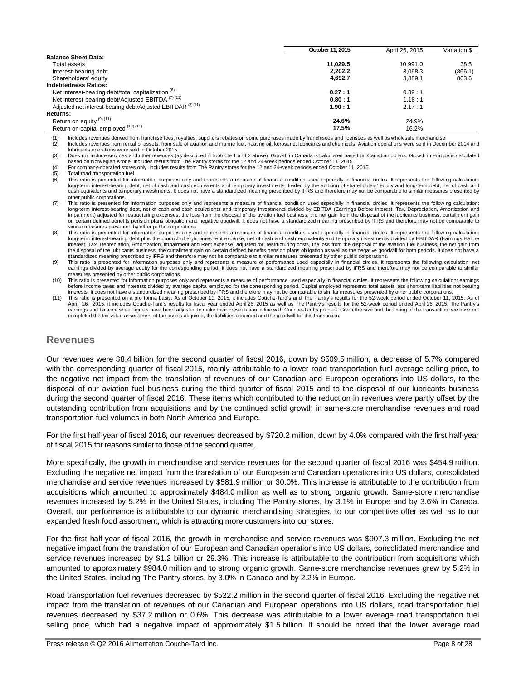|                                                              | October 11, 2015 | April 26, 2015 | Variation \$ |
|--------------------------------------------------------------|------------------|----------------|--------------|
| <b>Balance Sheet Data:</b>                                   |                  |                |              |
| Total assets                                                 | 11.029.5         | 10.991.0       | 38.5         |
| Interest-bearing debt                                        | 2.202.2          | 3.068.3        | (866.1)      |
| Shareholders' equity                                         | 4,692.7          | 3.889.1        | 803.6        |
| <b>Indebtedness Ratios:</b>                                  |                  |                |              |
| Net interest-bearing debt/total capitalization (6)           | 0.27:1           | 0.39:1         |              |
| Net interest-bearing debt/Adjusted EBITDA (7) (11)           | 0.80:1           | 1.18:1         |              |
| Adjusted net interest-bearing debt/Adjusted EBITDAR (8) (11) | 1.90:1           | 2.17:1         |              |
| <b>Returns:</b>                                              |                  |                |              |
| Return on equity (9) (11)                                    | 24.6%            | 24.9%          |              |
| Return on capital employed (10) (11)                         | 17.5%            | 16.2%          |              |

(1) Includes revenues derived from franchise fees, royalties, suppliers rebates on some purchases made by franchisees and licensees as well as wholesale merchandise.<br>(2) Includes revenues from rental of assets, from sale o

Includes revenues from rental of assets, from sale of aviation and marine fuel, heating oil, kerosene, lubricants and chemicals, Aviation operations were sold in December 2014 and lubricants operations were sold in October 2015.

(3) Does not include services and other revenues (as described in footnote 1 and 2 above). Growth in Canada is calculated based on Canadian dollars. Growth in Europe is calculated based on Norwegian Krone. Includes results from The Pantry stores for the 12 and 24-week periods ended October 11, 2015.

(4) For company-operated stores only. Includes results from The Pantry stores for the 12 and 24-week periods ended October 11, 2015.<br>(5) Total mad transportation fuel

Total road transportation fuel.

(6) This ratio is presented for information purposes only and represents a measure of financial condition used especially in financial circles. It represents the following calculation: long-term interest-bearing debt, net of cash and cash equivalents and temporary investments divided by the addition of shareholders' equity and long-term debt, net of cash and cash equivalents and temporary investments. It does not have a standardized meaning prescribed by IFRS and therefore may not be comparable to similar measures presented by other public corporations.

(7) This ratio is presented for information purposes only and represents a measure of financial condition used especially in financial circles. It represents the following calculation: long-term interest-bearing debt, net of cash and cash equivalents and temporary investments divided by EBITDA (Earnings Before Interest, Tax, Depreciation, Amortization and Impairment) adjusted for restructuring expenses, the loss from the disposal of the aviation fuel business, the net gain from the disposal of the lubricants business, curtailment gain on certain defined benefits pension plans obligation and negative goodwill. It does not have a standardized meaning prescribed by IFRS and therefore may not be comparable to similar measures presented by other public corporations.

(8) This ratio is presented for information purposes only and represents a measure of financial condition used especially in financial circles. It represents the following calculation: long-term interest-bearing debt plus the product of eight times rent expense, net of cash and cash equivalents and temporary investments divided by EBITDAR (Earnings Before Interest, Tax, Depreciation, Amortization, Impairment and Rent expense) adjusted for: restructuring costs, the loss from the disposal of the aviation fuel business, the net gain from the disposal of the lubricants business, the curtailment gain on certain defined benefits pension plans obligation as well as the negative goodwill for both periods. It does not have a<br>standardized meaning prescribed by IF

(9) This ratio is presented for information purposes only and represents a measure of performance used especially in financial circles. It represents the following calculation: net earnings divided by average equity for the corresponding period. It does not have a standardized meaning prescribed by IFRS and therefore may not be comparable to similar measures presented by other public corporations.

(10) This ratio is presented for information purposes only and represents a measure of performance used especially in financial circles. It represents the following calculation: earnings before income taxes and interests divided by average capital employed for the corresponding period. Capital employed represents total assets less short-term liabilities not bearing<br>interests. It does not have a standardize

(11) This ratio is presented on a pro forma basis. As of October 11, 2015, it includes Couche-Tard's and The Pantry's results for the 52-week period ended October 11, 2015. As of April 26, 2015, it includes Couche-Tard's results for fiscal year ended April 26, 2015 as well as The Pantry's results for the 52-week period ended April 26, 2015. The Pantry's earnings and balance sheet figures have been adjusted to make their presentation in line with Couche-Tard's policies. Given the size and the timing of the transaction, we have not completed the fair value assessment of the assets acquired, the liabilities assumed and the goodwill for this transaction.

## **Revenues**

Our revenues were \$8.4 billion for the second quarter of fiscal 2016, down by \$509.5 million, a decrease of 5.7% compared with the corresponding quarter of fiscal 2015, mainly attributable to a lower road transportation fuel average selling price, to the negative net impact from the translation of revenues of our Canadian and European operations into US dollars, to the disposal of our aviation fuel business during the third quarter of fiscal 2015 and to the disposal of our lubricants business during the second quarter of fiscal 2016. These items which contributed to the reduction in revenues were partly offset by the outstanding contribution from acquisitions and by the continued solid growth in same-store merchandise revenues and road transportation fuel volumes in both North America and Europe.

For the first half-year of fiscal 2016, our revenues decreased by \$720.2 million, down by 4.0% compared with the first half-year of fiscal 2015 for reasons similar to those of the second quarter.

More specifically, the growth in merchandise and service revenues for the second quarter of fiscal 2016 was \$454.9 million. Excluding the negative net impact from the translation of our European and Canadian operations into US dollars, consolidated merchandise and service revenues increased by \$581.9 million or 30.0%. This increase is attributable to the contribution from acquisitions which amounted to approximately \$484.0 million as well as to strong organic growth. Same-store merchandise revenues increased by 5.2% in the United States, including The Pantry stores, by 3.1% in Europe and by 3.6% in Canada. Overall, our performance is attributable to our dynamic merchandising strategies, to our competitive offer as well as to our expanded fresh food assortment, which is attracting more customers into our stores.

For the first half-year of fiscal 2016, the growth in merchandise and service revenues was \$907.3 million. Excluding the net negative impact from the translation of our European and Canadian operations into US dollars, consolidated merchandise and service revenues increased by \$1.2 billion or 29.3%. This increase is attributable to the contribution from acquisitions which amounted to approximately \$984.0 million and to strong organic growth. Same-store merchandise revenues grew by 5.2% in the United States, including The Pantry stores, by 3.0% in Canada and by 2.2% in Europe.

Road transportation fuel revenues decreased by \$522.2 million in the second quarter of fiscal 2016. Excluding the negative net impact from the translation of revenues of our Canadian and European operations into US dollars, road transportation fuel revenues decreased by \$37.2 million or 0.6%. This decrease was attributable to a lower average road transportation fuel selling price, which had a negative impact of approximately \$1.5 billion. It should be noted that the lower average road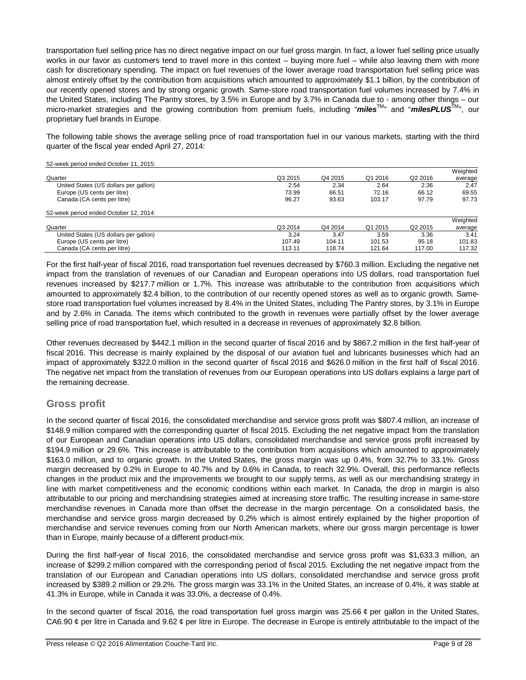transportation fuel selling price has no direct negative impact on our fuel gross margin. In fact, a lower fuel selling price usually works in our favor as customers tend to travel more in this context – buying more fuel – while also leaving them with more cash for discretionary spending. The impact on fuel revenues of the lower average road transportation fuel selling price was almost entirely offset by the contribution from acquisitions which amounted to approximately \$1.1 billion, by the contribution of our recently opened stores and by strong organic growth. Same-store road transportation fuel volumes increased by 7.4% in the United States, including The Pantry stores, by 3.5% in Europe and by 3.7% in Canada due to - among other things – our micro-market strategies and the growing contribution from premium fuels, including "*miles*TM" and "*milesPLUS*TM", our proprietary fuel brands in Europe.

The following table shows the average selling price of road transportation fuel in our various markets, starting with the third quarter of the fiscal year ended April 27, 2014:

|                                        |         |         |         |                     | Weighted |
|----------------------------------------|---------|---------|---------|---------------------|----------|
| Quarter                                | Q3 2015 | Q4 2015 | Q1 2016 | Q2 2016             | average  |
| United States (US dollars per gallon)  | 2.54    | 2.34    | 2.64    | 2.36                | 2.47     |
| Europe (US cents per litre)            | 73.99   | 66.51   | 72.16   | 66.12               | 69.55    |
| Canada (CA cents per litre)            | 96.27   | 93.63   | 103.17  | 97.79               | 97.73    |
| 52-week period ended October 12, 2014: |         |         |         |                     |          |
|                                        |         |         |         |                     | Weighted |
| Quarter                                | Q3 2014 | Q4 2014 | Q1 2015 | Q <sub>2</sub> 2015 | average  |
| United States (US dollars per gallon)  | 3.24    | 3.47    | 3.59    | 3.36                | 3.41     |
| Europe (US cents per litre)            | 107.49  | 104.11  | 101.53  | 95.18               | 101.83   |
| Canada (CA cents per litre)            | 113.11  | 118.74  | 121.64  | 117.00              | 117.32   |

52-week period ended October 11, 2015:

For the first half-year of fiscal 2016, road transportation fuel revenues decreased by \$760.3 million. Excluding the negative net impact from the translation of revenues of our Canadian and European operations into US dollars, road transportation fuel revenues increased by \$217.7 million or 1.7%. This increase was attributable to the contribution from acquisitions which amounted to approximately \$2.4 billion, to the contribution of our recently opened stores as well as to organic growth. Samestore road transportation fuel volumes increased by 8.4% in the United States, including The Pantry stores, by 3.1% in Europe and by 2.6% in Canada. The items which contributed to the growth in revenues were partially offset by the lower average selling price of road transportation fuel, which resulted in a decrease in revenues of approximately \$2.8 billion.

Other revenues decreased by \$442.1 million in the second quarter of fiscal 2016 and by \$867.2 million in the first half-year of fiscal 2016. This decrease is mainly explained by the disposal of our aviation fuel and lubricants businesses which had an impact of approximately \$322.0 million in the second quarter of fiscal 2016 and \$626.0 million in the first half of fiscal 2016. The negative net impact from the translation of revenues from our European operations into US dollars explains a large part of the remaining decrease.

# **Gross profit**

In the second quarter of fiscal 2016, the consolidated merchandise and service gross profit was \$807.4 million, an increase of \$148.9 million compared with the corresponding quarter of fiscal 2015. Excluding the net negative impact from the translation of our European and Canadian operations into US dollars, consolidated merchandise and service gross profit increased by \$194.9 million or 29.6%. This increase is attributable to the contribution from acquisitions which amounted to approximately \$163.0 million, and to organic growth. In the United States, the gross margin was up 0.4%, from 32.7% to 33.1%. Gross margin decreased by 0.2% in Europe to 40.7% and by 0.6% in Canada, to reach 32.9%. Overall, this performance reflects changes in the product mix and the improvements we brought to our supply terms, as well as our merchandising strategy in line with market competitiveness and the economic conditions within each market. In Canada, the drop in margin is also attributable to our pricing and merchandising strategies aimed at increasing store traffic. The resulting increase in same-store merchandise revenues in Canada more than offset the decrease in the margin percentage. On a consolidated basis, the merchandise and service gross margin decreased by 0.2% which is almost entirely explained by the higher proportion of merchandise and service revenues coming from our North American markets, where our gross margin percentage is lower than in Europe, mainly because of a different product-mix.

During the first half-year of fiscal 2016, the consolidated merchandise and service gross profit was \$1,633.3 million, an increase of \$299.2 million compared with the corresponding period of fiscal 2015. Excluding the net negative impact from the translation of our European and Canadian operations into US dollars, consolidated merchandise and service gross profit increased by \$389.2 million or 29.2%. The gross margin was 33.1% in the United States, an increase of 0.4%, it was stable at 41.3% in Europe, while in Canada it was 33.0%, a decrease of 0.4%.

In the second quarter of fiscal 2016, the road transportation fuel gross margin was 25.66  $\phi$  per gallon in the United States, CA6.90  $\phi$  per litre in Canada and 9.62  $\phi$  per litre in Europe. The decrease in Europe is entirely attributable to the impact of the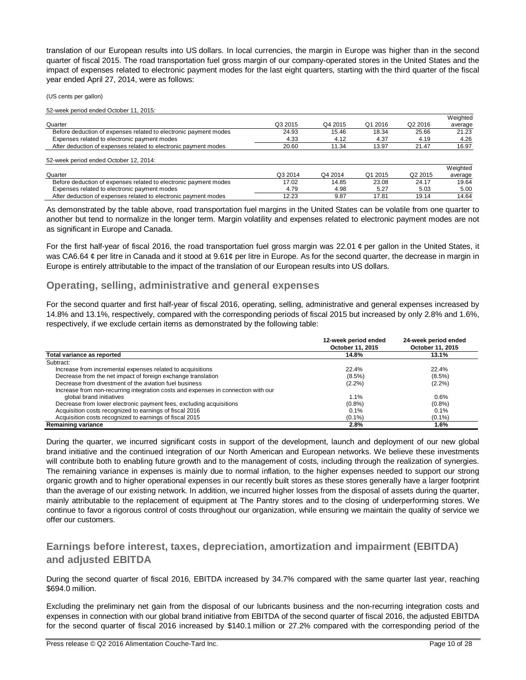translation of our European results into US dollars. In local currencies, the margin in Europe was higher than in the second quarter of fiscal 2015. The road transportation fuel gross margin of our company-operated stores in the United States and the impact of expenses related to electronic payment modes for the last eight quarters, starting with the third quarter of the fiscal year ended April 27, 2014, were as follows:

(US cents per gallon)

52-week period ended October 11, 2015:

|                                                                  |         |         |         |         | Weighted |
|------------------------------------------------------------------|---------|---------|---------|---------|----------|
| Quarter                                                          | Q3 2015 | Q4 2015 | Q1 2016 | Q2 2016 | average  |
| Before deduction of expenses related to electronic payment modes | 24.93   | 15.46   | 18.34   | 25.66   | 21.23    |
| Expenses related to electronic payment modes                     | 4.33    | 4.12    | 4.37    | 4.19    | 4.26     |
| After deduction of expenses related to electronic payment modes  | 20.60   | 11.34   | 13.97   | 21.47   | 16.97    |
|                                                                  |         |         |         |         | Weighted |
| 52-week period ended October 12, 2014:                           |         |         |         |         |          |
| Quarter                                                          | Q3 2014 | Q4 2014 | Q1 2015 | Q2 2015 | average  |
| Before deduction of expenses related to electronic payment modes | 17.02   | 14.85   | 23.08   | 24.17   | 19.64    |
| Expenses related to electronic payment modes                     | 4.79    | 4.98    | 5.27    | 5.03    | 5.00     |
| After deduction of expenses related to electronic payment modes  | 12.23   | 9.87    | 17.81   | 19.14   | 14.64    |

As demonstrated by the table above, road transportation fuel margins in the United States can be volatile from one quarter to another but tend to normalize in the longer term. Margin volatility and expenses related to electronic payment modes are not as significant in Europe and Canada.

For the first half-year of fiscal 2016, the road transportation fuel gross margin was 22.01  $\phi$  per gallon in the United States, it was CA6.64  $\phi$  per litre in Canada and it stood at 9.61 $\phi$  per litre in Europe. As for the second quarter, the decrease in margin in Europe is entirely attributable to the impact of the translation of our European results into US dollars.

# **Operating, selling, administrative and general expenses**

For the second quarter and first half-year of fiscal 2016, operating, selling, administrative and general expenses increased by 14.8% and 13.1%, respectively, compared with the corresponding periods of fiscal 2015 but increased by only 2.8% and 1.6%, respectively, if we exclude certain items as demonstrated by the following table:

|                                                                                   | 12-week period ended<br>October 11, 2015 | 24-week period ended<br>October 11, 2015 |
|-----------------------------------------------------------------------------------|------------------------------------------|------------------------------------------|
| Total variance as reported                                                        | 14.8%                                    | 13.1%                                    |
| Subtract:                                                                         |                                          |                                          |
| Increase from incremental expenses related to acquisitions                        | 22.4%                                    | 22.4%                                    |
| Decrease from the net impact of foreign exchange translation                      | $(8.5\%)$                                | $(8.5\%)$                                |
| Decrease from divestment of the aviation fuel business                            | $(2.2\%)$                                | (2.2%)                                   |
| Increase from non-recurring integration costs and expenses in connection with our |                                          |                                          |
| global brand initiatives                                                          | 1.1%                                     | 0.6%                                     |
| Decrease from lower electronic payment fees, excluding acquisitions               | $(0.8\%)$                                | (0.8%                                    |
| Acquisition costs recognized to earnings of fiscal 2016                           | 0.1%                                     | 0.1%                                     |
| Acquisition costs recognized to earnings of fiscal 2015                           | $(0.1\%)$                                | $(0.1\%)$                                |
| <b>Remaining variance</b>                                                         | 2.8%                                     | 1.6%                                     |

During the quarter, we incurred significant costs in support of the development, launch and deployment of our new global brand initiative and the continued integration of our North American and European networks. We believe these investments will contribute both to enabling future growth and to the management of costs, including through the realization of synergies. The remaining variance in expenses is mainly due to normal inflation, to the higher expenses needed to support our strong organic growth and to higher operational expenses in our recently built stores as these stores generally have a larger footprint than the average of our existing network. In addition, we incurred higher losses from the disposal of assets during the quarter, mainly attributable to the replacement of equipment at The Pantry stores and to the closing of underperforming stores. We continue to favor a rigorous control of costs throughout our organization, while ensuring we maintain the quality of service we offer our customers.

# **Earnings before interest, taxes, depreciation, amortization and impairment (EBITDA) and adjusted EBITDA**

During the second quarter of fiscal 2016, EBITDA increased by 34.7% compared with the same quarter last year, reaching \$694.0 million.

Excluding the preliminary net gain from the disposal of our lubricants business and the non-recurring integration costs and expenses in connection with our global brand initiative from EBITDA of the second quarter of fiscal 2016, the adjusted EBITDA for the second quarter of fiscal 2016 increased by \$140.1 million or 27.2% compared with the corresponding period of the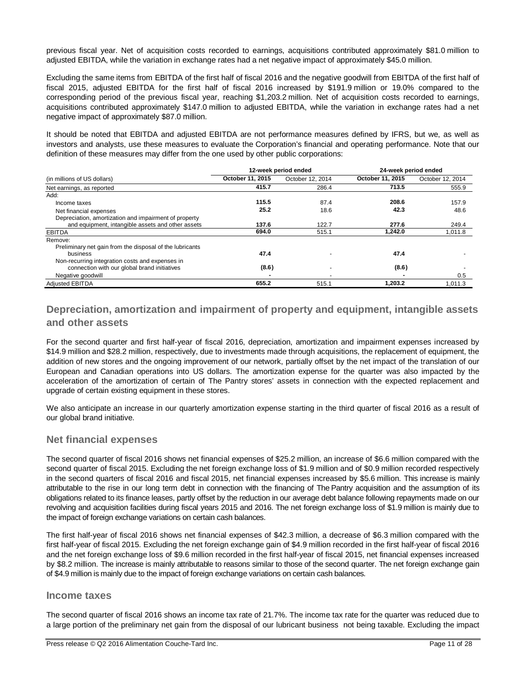previous fiscal year. Net of acquisition costs recorded to earnings, acquisitions contributed approximately \$81.0 million to adjusted EBITDA, while the variation in exchange rates had a net negative impact of approximately \$45.0 million.

Excluding the same items from EBITDA of the first half of fiscal 2016 and the negative goodwill from EBITDA of the first half of fiscal 2015, adjusted EBITDA for the first half of fiscal 2016 increased by \$191.9 million or 19.0% compared to the corresponding period of the previous fiscal year, reaching \$1,203.2 million. Net of acquisition costs recorded to earnings, acquisitions contributed approximately \$147.0 million to adjusted EBITDA, while the variation in exchange rates had a net negative impact of approximately \$87.0 million.

It should be noted that EBITDA and adjusted EBITDA are not performance measures defined by IFRS, but we, as well as investors and analysts, use these measures to evaluate the Corporation's financial and operating performance. Note that our definition of these measures may differ from the one used by other public corporations:

|                                                          |                  | 12-week period ended<br>24-week period ended |                  |                  |
|----------------------------------------------------------|------------------|----------------------------------------------|------------------|------------------|
| (in millions of US dollars)                              | October 11, 2015 | October 12, 2014                             | October 11, 2015 | October 12, 2014 |
| Net earnings, as reported                                | 415.7            | 286.4                                        | 713.5            | 555.9            |
| Add:                                                     |                  |                                              |                  |                  |
| Income taxes                                             | 115.5            | 87.4                                         | 208.6            | 157.9            |
| Net financial expenses                                   | 25.2             | 18.6                                         | 42.3             | 48.6             |
| Depreciation, amortization and impairment of property    |                  |                                              |                  |                  |
| and equipment, intangible assets and other assets        | 137.6            | 122.7                                        | 277.6            | 249.4            |
| <b>EBITDA</b>                                            | 694.0            | 515.1                                        | 1.242.0          | 1.011.8          |
| Remove:                                                  |                  |                                              |                  |                  |
| Preliminary net gain from the disposal of the lubricants |                  |                                              |                  |                  |
| business                                                 | 47.4             |                                              | 47.4             |                  |
| Non-recurring integration costs and expenses in          |                  |                                              |                  |                  |
| connection with our global brand initiatives             | (8.6)            |                                              | (8.6)            |                  |
| Negative goodwill                                        |                  |                                              |                  | 0.5              |
| <b>Adjusted EBITDA</b>                                   | 655.2            | 515.1                                        | 1,203.2          | 1,011.3          |

# **Depreciation, amortization and impairment of property and equipment, intangible assets and other assets**

For the second quarter and first half-year of fiscal 2016, depreciation, amortization and impairment expenses increased by \$14.9 million and \$28.2 million, respectively, due to investments made through acquisitions, the replacement of equipment, the addition of new stores and the ongoing improvement of our network, partially offset by the net impact of the translation of our European and Canadian operations into US dollars. The amortization expense for the quarter was also impacted by the acceleration of the amortization of certain of The Pantry stores' assets in connection with the expected replacement and upgrade of certain existing equipment in these stores.

We also anticipate an increase in our quarterly amortization expense starting in the third quarter of fiscal 2016 as a result of our global brand initiative.

# **Net financial expenses**

The second quarter of fiscal 2016 shows net financial expenses of \$25.2 million, an increase of \$6.6 million compared with the second quarter of fiscal 2015. Excluding the net foreign exchange loss of \$1.9 million and of \$0.9 million recorded respectively in the second quarters of fiscal 2016 and fiscal 2015, net financial expenses increased by \$5.6 million. This increase is mainly attributable to the rise in our long term debt in connection with the financing of The Pantry acquisition and the assumption of its obligations related to its finance leases, partly offset by the reduction in our average debt balance following repayments made on our revolving and acquisition facilities during fiscal years 2015 and 2016. The net foreign exchange loss of \$1.9 million is mainly due to the impact of foreign exchange variations on certain cash balances.

The first half-year of fiscal 2016 shows net financial expenses of \$42.3 million, a decrease of \$6.3 million compared with the first half-year of fiscal 2015. Excluding the net foreign exchange gain of \$4.9 million recorded in the first half-year of fiscal 2016 and the net foreign exchange loss of \$9.6 million recorded in the first half-year of fiscal 2015, net financial expenses increased by \$8.2 million. The increase is mainly attributable to reasons similar to those of the second quarter. The net foreign exchange gain of \$4.9 million is mainly due to the impact of foreign exchange variations on certain cash balances.

### **Income taxes**

The second quarter of fiscal 2016 shows an income tax rate of 21.7%. The income tax rate for the quarter was reduced due to a large portion of the preliminary net gain from the disposal of our lubricant business not being taxable. Excluding the impact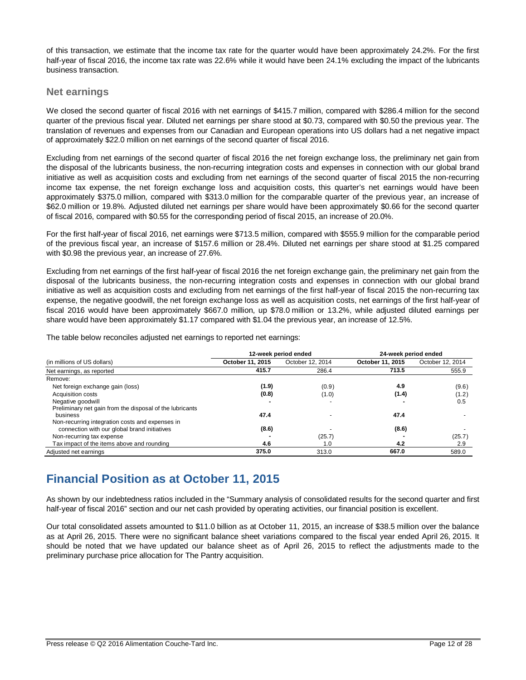of this transaction, we estimate that the income tax rate for the quarter would have been approximately 24.2%. For the first half-year of fiscal 2016, the income tax rate was 22.6% while it would have been 24.1% excluding the impact of the lubricants business transaction.

## **Net earnings**

We closed the second quarter of fiscal 2016 with net earnings of \$415.7 million, compared with \$286.4 million for the second quarter of the previous fiscal year. Diluted net earnings per share stood at \$0.73, compared with \$0.50 the previous year. The translation of revenues and expenses from our Canadian and European operations into US dollars had a net negative impact of approximately \$22.0 million on net earnings of the second quarter of fiscal 2016.

Excluding from net earnings of the second quarter of fiscal 2016 the net foreign exchange loss, the preliminary net gain from the disposal of the lubricants business, the non-recurring integration costs and expenses in connection with our global brand initiative as well as acquisition costs and excluding from net earnings of the second quarter of fiscal 2015 the non-recurring income tax expense, the net foreign exchange loss and acquisition costs, this quarter's net earnings would have been approximately \$375.0 million, compared with \$313.0 million for the comparable quarter of the previous year, an increase of \$62.0 million or 19.8%. Adjusted diluted net earnings per share would have been approximately \$0.66 for the second quarter of fiscal 2016, compared with \$0.55 for the corresponding period of fiscal 2015, an increase of 20.0%.

For the first half-year of fiscal 2016, net earnings were \$713.5 million, compared with \$555.9 million for the comparable period of the previous fiscal year, an increase of \$157.6 million or 28.4%. Diluted net earnings per share stood at \$1.25 compared with \$0.98 the previous year, an increase of 27.6%.

Excluding from net earnings of the first half-year of fiscal 2016 the net foreign exchange gain, the preliminary net gain from the disposal of the lubricants business, the non-recurring integration costs and expenses in connection with our global brand initiative as well as acquisition costs and excluding from net earnings of the first half-year of fiscal 2015 the non-recurring tax expense, the negative goodwill, the net foreign exchange loss as well as acquisition costs, net earnings of the first half-year of fiscal 2016 would have been approximately \$667.0 million, up \$78.0 million or 13.2%, while adjusted diluted earnings per share would have been approximately \$1.17 compared with \$1.04 the previous year, an increase of 12.5%.

The table below reconciles adjusted net earnings to reported net earnings:

|                                                          |                  | 12-week period ended<br>24-week period ended |                  |                  |
|----------------------------------------------------------|------------------|----------------------------------------------|------------------|------------------|
| (in millions of US dollars)                              | October 11, 2015 | October 12, 2014                             | October 11, 2015 | October 12, 2014 |
| Net earnings, as reported                                | 415.7            | 286.4                                        | 713.5            | 555.9            |
| Remove:                                                  |                  |                                              |                  |                  |
| Net foreign exchange gain (loss)                         | (1.9)            | (0.9)                                        | 4.9              | (9.6)            |
| Acquisition costs                                        | (0.8)            | (1.0)                                        | (1.4)            | (1.2)            |
| Negative goodwill                                        |                  |                                              |                  | 0.5              |
| Preliminary net gain from the disposal of the lubricants |                  |                                              |                  |                  |
| business                                                 | 47.4             |                                              | 47.4             |                  |
| Non-recurring integration costs and expenses in          |                  |                                              |                  |                  |
| connection with our global brand initiatives             | (8.6)            |                                              | (8.6)            |                  |
| Non-recurring tax expense                                |                  | (25.7)                                       |                  | (25.7)           |
| Tax impact of the items above and rounding               | 4.6              | 1.0                                          | 4.2              | 2.9              |
| Adjusted net earnings                                    | 375.0            | 313.0                                        | 667.0            | 589.0            |

# **Financial Position as at October 11, 2015**

As shown by our indebtedness ratios included in the "Summary analysis of consolidated results for the second quarter and first half-year of fiscal 2016" section and our net cash provided by operating activities, our financial position is excellent.

Our total consolidated assets amounted to \$11.0 billion as at October 11, 2015, an increase of \$38.5 million over the balance as at April 26, 2015. There were no significant balance sheet variations compared to the fiscal year ended April 26, 2015. It should be noted that we have updated our balance sheet as of April 26, 2015 to reflect the adjustments made to the preliminary purchase price allocation for The Pantry acquisition.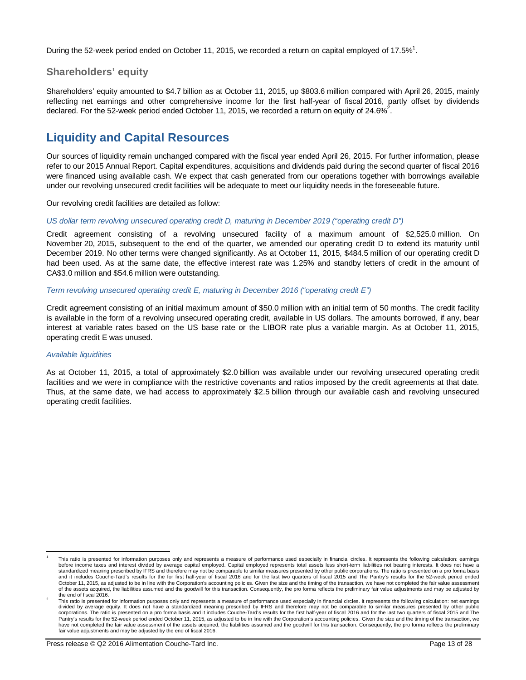During the 52-week period ended on October 11, 2015, we recorded a return on capital employed of 17.5%<sup>1</sup>.

# **Shareholders' equity**

Shareholders' equity amounted to \$4.7 billion as at October 11, 2015, up \$803.6 million compared with April 26, 2015, mainly reflecting net earnings and other comprehensive income for the first half-year of fiscal 2016, partly offset by dividends declared. For the 52-week period ended October 11, 2015, we recorded a return on equity of 24.6%<sup>2</sup>.

# **Liquidity and Capital Resources**

Our sources of liquidity remain unchanged compared with the fiscal year ended April 26, 2015. For further information, please refer to our 2015 Annual Report. Capital expenditures, acquisitions and dividends paid during the second quarter of fiscal 2016 were financed using available cash. We expect that cash generated from our operations together with borrowings available under our revolving unsecured credit facilities will be adequate to meet our liquidity needs in the foreseeable future.

Our revolving credit facilities are detailed as follow:

### *US dollar term revolving unsecured operating credit D, maturing in December 2019 ("operating credit D")*

Credit agreement consisting of a revolving unsecured facility of a maximum amount of \$2,525.0 million. On November 20, 2015, subsequent to the end of the quarter, we amended our operating credit D to extend its maturity until December 2019. No other terms were changed significantly. As at October 11, 2015, \$484.5 million of our operating credit D had been used. As at the same date, the effective interest rate was 1.25% and standby letters of credit in the amount of CA\$3.0 million and \$54.6 million were outstanding.

### *Term revolving unsecured operating credit E, maturing in December 2016 ("operating credit E")*

Credit agreement consisting of an initial maximum amount of \$50.0 million with an initial term of 50 months. The credit facility is available in the form of a revolving unsecured operating credit, available in US dollars. The amounts borrowed, if any, bear interest at variable rates based on the US base rate or the LIBOR rate plus a variable margin. As at October 11, 2015, operating credit E was unused.

#### *Available liquidities*

As at October 11, 2015, a total of approximately \$2.0 billion was available under our revolving unsecured operating credit facilities and we were in compliance with the restrictive covenants and ratios imposed by the credit agreements at that date. Thus, at the same date, we had access to approximately \$2.5 billion through our available cash and revolving unsecured operating credit facilities.

 $\overline{a}$ 1 This ratio is presented for information purposes only and represents a measure of performance used especially in financial circles. It represents the following calculation: earnings before income taxes and interest divided by average capital employed. Capital employed represents total assets less short-term liabilities not bearing interests. It does not have a standardized meaning prescribed by IFRS and therefore may not be comparable to similar measures presented by other public corporations. The ratio is presented on a pro forma basis and it includes Couche-Tard's results for the for first half-year of fiscal 2016 and for the last two quarters of fiscal 2015 and The Pantry's results for the 52-week period ended<br>October 11, 2015, as adjusted to be in lin of the assets acquired, the liabilities assumed and the goodwill for this transaction. Consequently, the pro forma reflects the preliminary fair value adjustments and may be adjusted by the end of fiscal 2016.

<sup>2</sup> This ratio is presented for information purposes only and represents a measure of performance used especially in financial circles. It represents the following calculation: net earnings divided by average equity. It does not have a standardized meaning prescribed by IFRS and therefore may not be comparable to similar measures presented by other public corporations. The ratio is presented on a pro forma basis and it includes Couche-Tard's results for the first half-year of fiscal 2016 and for the last two quarters of fiscal 2015 and The<br>Pantry's results for the 52-week p have not completed the fair value assessment of the assets acquired, the liabilities assumed and the goodwill for this transaction. Consequently, the pro forma reflects the preliminary fair value adjustments and may be adjusted by the end of fiscal 2016.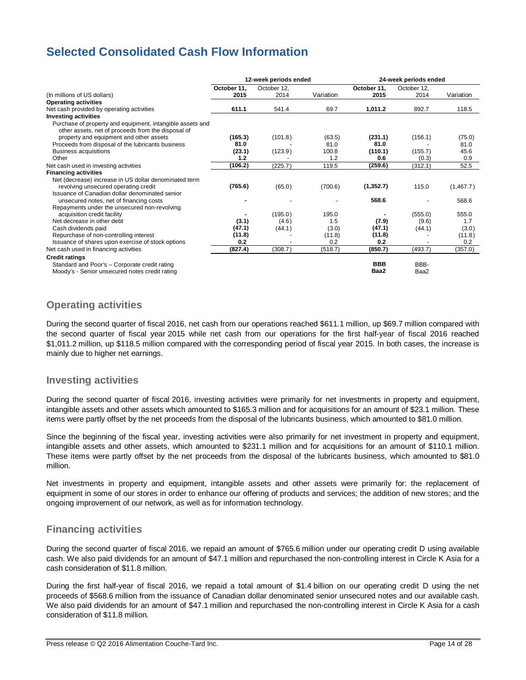# **Selected Consolidated Cash Flow Information**

|                                                                                                                 | 12-week periods ended |                     |           | 24-week periods ended |                     |           |
|-----------------------------------------------------------------------------------------------------------------|-----------------------|---------------------|-----------|-----------------------|---------------------|-----------|
| (In millions of US dollars)                                                                                     | October 11,<br>2015   | October 12,<br>2014 | Variation | October 11,<br>2015   | October 12,<br>2014 | Variation |
| <b>Operating activities</b>                                                                                     |                       |                     |           |                       |                     |           |
| Net cash provided by operating activities                                                                       | 611.1                 | 541.4               | 69.7      | 1,011.2               | 892.7               | 118.5     |
| <b>Investing activities</b>                                                                                     |                       |                     |           |                       |                     |           |
| Purchase of property and equipment, intangible assets and<br>other assets, net of proceeds from the disposal of |                       |                     |           |                       |                     |           |
| property and equipment and other assets                                                                         | (165.3)               | (101.8)             | (63.5)    | (231.1)               | (156.1)             | (75.0)    |
| Proceeds from disposal of the lubricants business                                                               | 81.0                  |                     | 81.0      | 81.0                  |                     | 81.0      |
| Business acquisitions                                                                                           | (23.1)                | (123.9)             | 100.8     | (110.1)               | (155.7)             | 45.6      |
| Other                                                                                                           | 1.2                   |                     | 1.2       | 0.6                   | (0.3)               | 0.9       |
| Net cash used in investing activities                                                                           | (106.2)               | (225.7)             | 119.5     | (259.6)               | (312.1)             | 52.5      |
| <b>Financing activities</b>                                                                                     |                       |                     |           |                       |                     |           |
| Net (decrease) increase in US dollar denominated term                                                           |                       |                     |           |                       |                     |           |
| revolving unsecured operating credit                                                                            | (765.6)               | (65.0)              | (700.6)   | (1,352.7)             | 115.0               | (1,467.7) |
| Issuance of Canadian dollar denominated senior                                                                  |                       |                     |           |                       |                     |           |
| unsecured notes, net of financing costs                                                                         |                       |                     |           | 568.6                 |                     | 568.6     |
| Repayments under the unsecured non-revolving                                                                    |                       |                     |           |                       |                     |           |
| acquisition credit facility                                                                                     |                       | (195.0)             | 195.0     |                       | (555.0)             | 555.0     |
| Net decrease in other debt                                                                                      | (3.1)                 | (4.6)               | 1.5       | (7.9)                 | (9.6)               | 1.7       |
| Cash dividends paid                                                                                             | (47.1)                | (44.1)              | (3.0)     | (47.1)                | (44.1)              | (3.0)     |
| Repurchase of non-controlling interest                                                                          | (11.8)                |                     | (11.8)    | (11.8)                |                     | (11.8)    |
| Issuance of shares upon exercise of stock options                                                               | 0.2                   |                     | 0.2       | 0.2                   |                     | 0.2       |
| Net cash used in financing activities                                                                           | (827.4)               | (308.7)             | (518.7)   | (850.7)               | (493.7)             | (357.0)   |
| <b>Credit ratings</b>                                                                                           |                       |                     |           |                       |                     |           |
| Standard and Poor's - Corporate credit rating                                                                   |                       |                     |           | <b>BBB</b>            | BBB-                |           |
| Moody's - Senior unsecured notes credit rating                                                                  |                       |                     |           | Baa2                  | Baa2                |           |

# **Operating activities**

During the second quarter of fiscal 2016, net cash from our operations reached \$611.1 million, up \$69.7 million compared with the second quarter of fiscal year 2015 while net cash from our operations for the first half-year of fiscal 2016 reached \$1,011.2 million, up \$118.5 million compared with the corresponding period of fiscal year 2015. In both cases, the increase is mainly due to higher net earnings.

## **Investing activities**

During the second quarter of fiscal 2016, investing activities were primarily for net investments in property and equipment, intangible assets and other assets which amounted to \$165.3 million and for acquisitions for an amount of \$23.1 million. These items were partly offset by the net proceeds from the disposal of the lubricants business, which amounted to \$81.0 million.

Since the beginning of the fiscal year, investing activities were also primarily for net investment in property and equipment, intangible assets and other assets, which amounted to \$231.1 million and for acquisitions for an amount of \$110.1 million. These items were partly offset by the net proceeds from the disposal of the lubricants business, which amounted to \$81.0 million.

Net investments in property and equipment, intangible assets and other assets were primarily for: the replacement of equipment in some of our stores in order to enhance our offering of products and services; the addition of new stores; and the ongoing improvement of our network, as well as for information technology.

# **Financing activities**

During the second quarter of fiscal 2016, we repaid an amount of \$765.6 million under our operating credit D using available cash. We also paid dividends for an amount of \$47.1 million and repurchased the non-controlling interest in Circle K Asia for a cash consideration of \$11.8 million.

During the first half-year of fiscal 2016, we repaid a total amount of \$1.4 billion on our operating credit D using the net proceeds of \$568.6 million from the issuance of Canadian dollar denominated senior unsecured notes and our available cash. We also paid dividends for an amount of \$47.1 million and repurchased the non-controlling interest in Circle K Asia for a cash consideration of \$11.8 million.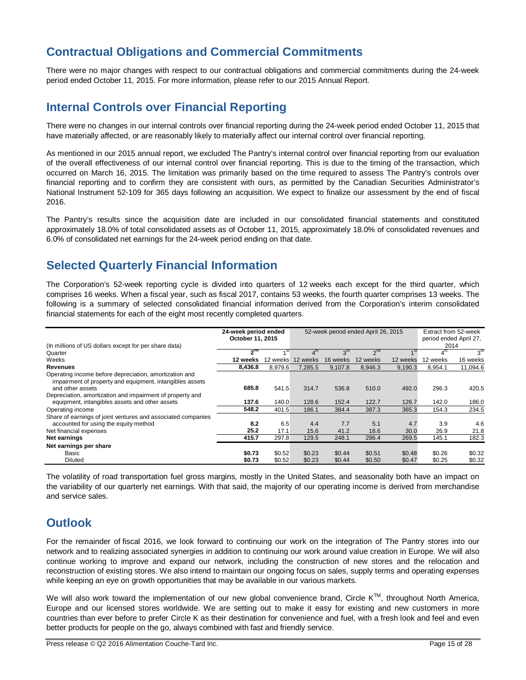# **Contractual Obligations and Commercial Commitments**

There were no major changes with respect to our contractual obligations and commercial commitments during the 24-week period ended October 11, 2015. For more information, please refer to our 2015 Annual Report.

# **Internal Controls over Financial Reporting**

There were no changes in our internal controls over financial reporting during the 24-week period ended October 11, 2015 that have materially affected, or are reasonably likely to materially affect our internal control over financial reporting.

As mentioned in our 2015 annual report, we excluded The Pantry's internal control over financial reporting from our evaluation of the overall effectiveness of our internal control over financial reporting. This is due to the timing of the transaction, which occurred on March 16, 2015. The limitation was primarily based on the time required to assess The Pantry's controls over financial reporting and to confirm they are consistent with ours, as permitted by the Canadian Securities Administrator's National Instrument 52-109 for 365 days following an acquisition. We expect to finalize our assessment by the end of fiscal 2016.

The Pantry's results since the acquisition date are included in our consolidated financial statements and constituted approximately 18.0% of total consolidated assets as of October 11, 2015, approximately 18.0% of consolidated revenues and 6.0% of consolidated net earnings for the 24-week period ending on that date.

# **Selected Quarterly Financial Information**

The Corporation's 52-week reporting cycle is divided into quarters of 12 weeks each except for the third quarter, which comprises 16 weeks. When a fiscal year, such as fiscal 2017, contains 53 weeks, the fourth quarter comprises 13 weeks. The following is a summary of selected consolidated financial information derived from the Corporation's interim consolidated financial statements for each of the eight most recently completed quarters.

| (In millions of US dollars except for per share data)                                                                                  | 24-week period ended<br>October 11, 2015 |          | 52-week period ended April 26, 2015 |                 |                 |          | Extract from 52-week<br>period ended April 27,<br>2014 |          |
|----------------------------------------------------------------------------------------------------------------------------------------|------------------------------------------|----------|-------------------------------------|-----------------|-----------------|----------|--------------------------------------------------------|----------|
| Quarter                                                                                                                                | $2^{\text{na}}$                          |          |                                     | $3^{\text{rd}}$ | 2 <sup>nd</sup> |          | 4 <sup>th</sup>                                        | $3^{rd}$ |
| Weeks                                                                                                                                  | 12 weeks                                 | 12 weeks | 12 weeks                            | 16 weeks        | 12 weeks        | 12 weeks | 12 weeks                                               | 16 weeks |
| <b>Revenues</b>                                                                                                                        | 8,436.8                                  | 8.979.6  | 7.285.5                             | 9,107.8         | 8,946.3         | 9,190.3  | 8,954.1                                                | 11,094.6 |
| Operating income before depreciation, amortization and<br>impairment of property and equipment, intangibles assets<br>and other assets | 685.8                                    | 541.5    | 314.7                               | 536.8           | 510.0           | 492.0    | 296.3                                                  | 420.5    |
| Depreciation, amortization and impairment of property and<br>equipment, intangibles assets and other assets                            | 137.6                                    | 140.0    | 128.6                               | 152.4           | 122.7           | 126.7    | 142.0                                                  | 186.0    |
| Operating income                                                                                                                       | 548.2                                    | 401.5    | 186.1                               | 384.4           | 387.3           | 365.3    | 154.3                                                  | 234.5    |
| Share of earnings of joint ventures and associated companies<br>accounted for using the equity method                                  | 8.2                                      | 6.5      | 4.4                                 | 7.7             | 5.1             | 4.7      | 3.9                                                    | 4.6      |
| Net financial expenses                                                                                                                 | 25.2                                     | 17.1     | 15.6                                | 41.2            | 18.6            | 30.0     | 26.9                                                   | 21.8     |
| Net earnings                                                                                                                           | 415.7                                    | 297.8    | 129.5                               | 248.1           | 286.4           | 269.5    | 145.1                                                  | 182.3    |
| Net earnings per share                                                                                                                 |                                          |          |                                     |                 |                 |          |                                                        |          |
| Basic                                                                                                                                  | \$0.73                                   | \$0.52   | \$0.23                              | \$0.44          | \$0.51          | \$0.48   | \$0.26                                                 | \$0.32   |
| <b>Diluted</b>                                                                                                                         | \$0.73                                   | \$0.52   | \$0.23                              | \$0.44          | \$0.50          | \$0.47   | \$0.25                                                 | \$0.32   |

The volatility of road transportation fuel gross margins, mostly in the United States, and seasonality both have an impact on the variability of our quarterly net earnings. With that said, the majority of our operating income is derived from merchandise and service sales.

# **Outlook**

For the remainder of fiscal 2016, we look forward to continuing our work on the integration of The Pantry stores into our network and to realizing associated synergies in addition to continuing our work around value creation in Europe. We will also continue working to improve and expand our network, including the construction of new stores and the relocation and reconstruction of existing stores. We also intend to maintain our ongoing focus on sales, supply terms and operating expenses while keeping an eye on growth opportunities that may be available in our various markets.

We will also work toward the implementation of our new global convenience brand, Circle K™, throughout North America, Europe and our licensed stores worldwide. We are setting out to make it easy for existing and new customers in more countries than ever before to prefer Circle K as their destination for convenience and fuel, with a fresh look and feel and even better products for people on the go, always combined with fast and friendly service.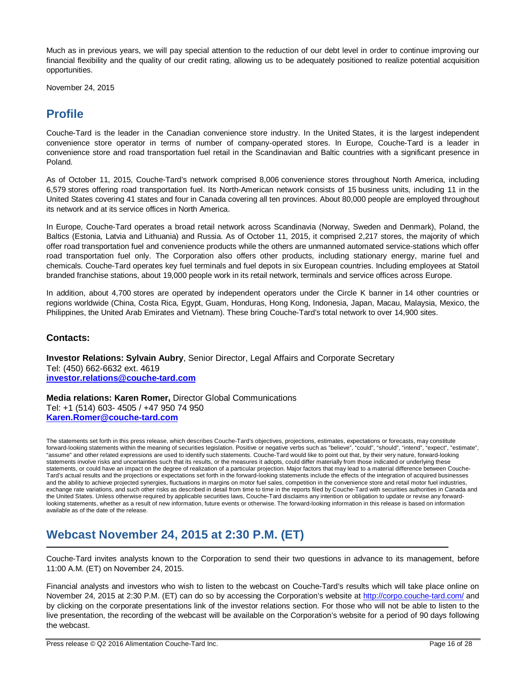Much as in previous years, we will pay special attention to the reduction of our debt level in order to continue improving our financial flexibility and the quality of our credit rating, allowing us to be adequately positioned to realize potential acquisition opportunities.

November 24, 2015

# **Profile**

Couche-Tard is the leader in the Canadian convenience store industry. In the United States, it is the largest independent convenience store operator in terms of number of company-operated stores. In Europe, Couche-Tard is a leader in convenience store and road transportation fuel retail in the Scandinavian and Baltic countries with a significant presence in Poland.

As of October 11, 2015, Couche-Tard's network comprised 8,006 convenience stores throughout North America, including 6,579 stores offering road transportation fuel. Its North-American network consists of 15 business units, including 11 in the United States covering 41 states and four in Canada covering all ten provinces. About 80,000 people are employed throughout its network and at its service offices in North America.

In Europe, Couche-Tard operates a broad retail network across Scandinavia (Norway, Sweden and Denmark), Poland, the Baltics (Estonia, Latvia and Lithuania) and Russia. As of October 11, 2015, it comprised 2,217 stores, the majority of which offer road transportation fuel and convenience products while the others are unmanned automated service-stations which offer road transportation fuel only. The Corporation also offers other products, including stationary energy, marine fuel and chemicals. Couche-Tard operates key fuel terminals and fuel depots in six European countries. Including employees at Statoil branded franchise stations, about 19,000 people work in its retail network, terminals and service offices across Europe.

In addition, about 4,700 stores are operated by independent operators under the Circle K banner in 14 other countries or regions worldwide (China, Costa Rica, Egypt, Guam, Honduras, Hong Kong, Indonesia, Japan, Macau, Malaysia, Mexico, the Philippines, the United Arab Emirates and Vietnam). These bring Couche-Tard's total network to over 14,900 sites.

## **Contacts:**

**Investor Relations: Sylvain Aubry**, Senior Director, Legal Affairs and Corporate Secretary Tel: (450) 662-6632 ext. 4619 **investor.relations@couche-tard.com**

**Media relations: Karen Romer,** Director Global Communications Tel: +1 (514) 603- 4505 / +47 950 74 950 **Karen.Romer@couche-tard.com**

The statements set forth in this press release, which describes Couche-Tard's objectives, projections, estimates, expectations or forecasts, may constitute forward-looking statements within the meaning of securities legislation. Positive or negative verbs such as "believe", "could", "should", "intend", "expect", "estimate", "assume" and other related expressions are used to identify such statements. Couche-Tard would like to point out that, by their very nature, forward-looking statements involve risks and uncertainties such that its results, or the measures it adopts, could differ materially from those indicated or underlying these statements, or could have an impact on the degree of realization of a particular projection. Major factors that may lead to a material difference between Couche-Tard's actual results and the projections or expectations set forth in the forward-looking statements include the effects of the integration of acquired businesses and the ability to achieve projected synergies, fluctuations in margins on motor fuel sales, competition in the convenience store and retail motor fuel industries, exchange rate variations, and such other risks as described in detail from time to time in the reports filed by Couche-Tard with securities authorities in Canada and the United States. Unless otherwise required by applicable securities laws, Couche-Tard disclaims any intention or obligation to update or revise any forwardlooking statements, whether as a result of new information, future events or otherwise. The forward-looking information in this release is based on information available as of the date of the release.

# **Webcast November 24, 2015 at 2:30 P.M. (ET)**

Couche-Tard invites analysts known to the Corporation to send their two questions in advance to its management, before 11:00 A.M. (ET) on November 24, 2015.

Financial analysts and investors who wish to listen to the webcast on Couche-Tard's results which will take place online on November 24, 2015 at 2:30 P.M. (ET) can do so by accessing the Corporation's website at http://corpo.couche-tard.com/ and by clicking on the corporate presentations link of the investor relations section. For those who will not be able to listen to the live presentation, the recording of the webcast will be available on the Corporation's website for a period of 90 days following the webcast.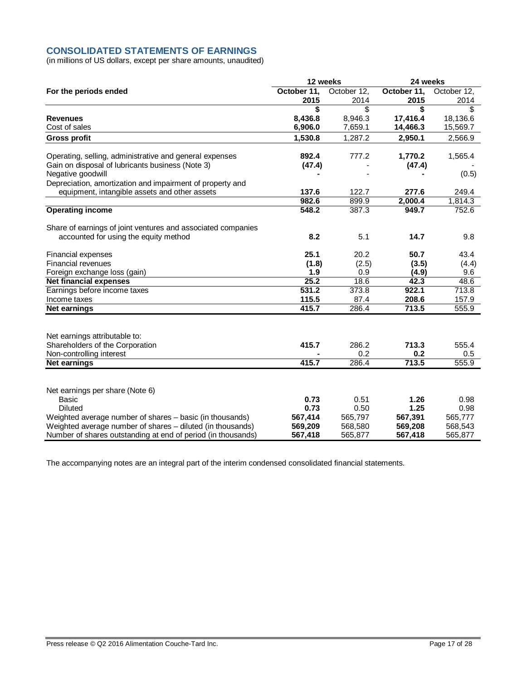## **CONSOLIDATED STATEMENTS OF EARNINGS**

(in millions of US dollars, except per share amounts, unaudited)

|                                                              | 12 weeks    |             | 24 weeks    |                      |  |
|--------------------------------------------------------------|-------------|-------------|-------------|----------------------|--|
| For the periods ended                                        | October 11, | October 12, | October 11, | October 12,          |  |
|                                                              | 2015        | 2014        | 2015        | 2014                 |  |
|                                                              | \$          | \$          | \$          | \$                   |  |
| <b>Revenues</b>                                              | 8,436.8     | 8,946.3     | 17,416.4    | 18,136.6             |  |
| Cost of sales                                                | 6,906.0     | 7,659.1     | 14,466.3    | 15,569.7             |  |
| <b>Gross profit</b>                                          | 1,530.8     | 1,287.2     | 2,950.1     | 2,566.9              |  |
| Operating, selling, administrative and general expenses      | 892.4       | 777.2       | 1,770.2     | 1,565.4              |  |
| Gain on disposal of lubricants business (Note 3)             | (47.4)      |             | (47.4)      |                      |  |
| Negative goodwill                                            |             |             |             | (0.5)                |  |
| Depreciation, amortization and impairment of property and    |             |             |             |                      |  |
| equipment, intangible assets and other assets                | 137.6       | 122.7       | 277.6       | 249.4                |  |
|                                                              | 982.6       | 899.9       | 2,000.4     | $\overline{1,814.3}$ |  |
| <b>Operating income</b>                                      | 548.2       | 387.3       | 949.7       | 752.6                |  |
| Share of earnings of joint ventures and associated companies |             |             |             |                      |  |
| accounted for using the equity method                        | 8.2         | 5.1         | 14.7        | 9.8                  |  |
| Financial expenses                                           | 25.1        | 20.2        | 50.7        | 43.4                 |  |
| <b>Financial revenues</b>                                    | (1.8)       | (2.5)       | (3.5)       | (4.4)                |  |
| Foreign exchange loss (gain)                                 | 1.9         | 0.9         | (4.9)       | 9.6                  |  |
| <b>Net financial expenses</b>                                | 25.2        | 18.6        | 42.3        | 48.6                 |  |
| Earnings before income taxes                                 | 531.2       | 373.8       | 922.1       | 713.8                |  |
| Income taxes                                                 | 115.5       | 87.4        | 208.6       | 157.9                |  |
| <b>Net earnings</b>                                          | 415.7       | 286.4       | 713.5       | 555.9                |  |
|                                                              |             |             |             |                      |  |
| Net earnings attributable to:                                |             |             |             |                      |  |
| Shareholders of the Corporation                              | 415.7       | 286.2       | 713.3       | 555.4                |  |
| Non-controlling interest                                     |             | 0.2         | 0.2         | 0.5                  |  |
| <b>Net earnings</b>                                          | 415.7       | 286.4       | 713.5       | 555.9                |  |
|                                                              |             |             |             |                      |  |
| Net earnings per share (Note 6)                              |             |             |             |                      |  |
| <b>Basic</b>                                                 | 0.73        | 0.51        | 1.26        | 0.98                 |  |
| Diluted                                                      | 0.73        | 0.50        | 1.25        | 0.98                 |  |
| Weighted average number of shares - basic (in thousands)     | 567,414     | 565,797     | 567,391     | 565,777              |  |
| Weighted average number of shares - diluted (in thousands)   | 569,209     | 568,580     | 569,208     | 568,543              |  |
| Number of shares outstanding at end of period (in thousands) | 567,418     | 565,877     | 567,418     | 565,877              |  |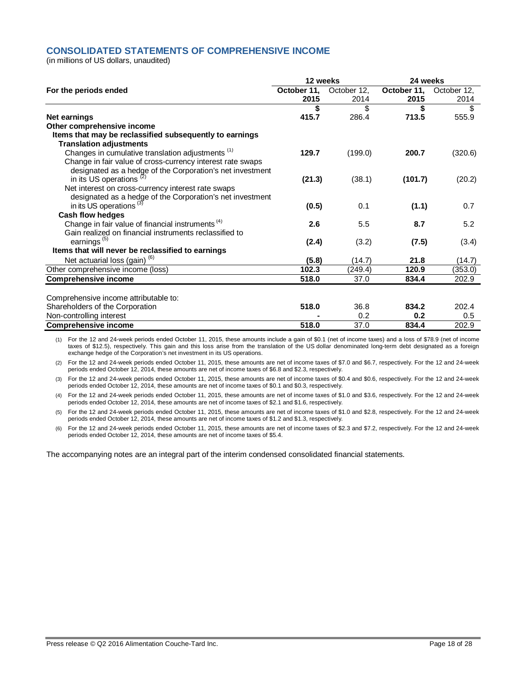## **CONSOLIDATED STATEMENTS OF COMPREHENSIVE INCOME**

(in millions of US dollars, unaudited)

|                                                              | 12 weeks    |             | 24 weeks    |             |  |
|--------------------------------------------------------------|-------------|-------------|-------------|-------------|--|
| For the periods ended                                        | October 11, | October 12, | October 11, | October 12, |  |
|                                                              | 2015        | 2014        | 2015        | 2014        |  |
|                                                              | \$          | \$          | \$          | \$          |  |
| <b>Net earnings</b>                                          | 415.7       | 286.4       | 713.5       | 555.9       |  |
| Other comprehensive income                                   |             |             |             |             |  |
| Items that may be reclassified subsequently to earnings      |             |             |             |             |  |
| <b>Translation adjustments</b>                               |             |             |             |             |  |
| Changes in cumulative translation adjustments <sup>(1)</sup> | 129.7       | (199.0)     | 200.7       | (320.6)     |  |
| Change in fair value of cross-currency interest rate swaps   |             |             |             |             |  |
| designated as a hedge of the Corporation's net investment    |             |             |             |             |  |
| in its US operations $(2)$                                   | (21.3)      | (38.1)      | (101.7)     | (20.2)      |  |
| Net interest on cross-currency interest rate swaps           |             |             |             |             |  |
| designated as a hedge of the Corporation's net investment    |             |             |             |             |  |
| in its US operations <sup>(3)</sup>                          | (0.5)       | 0.1         | (1.1)       | 0.7         |  |
| <b>Cash flow hedges</b>                                      |             |             |             |             |  |
| Change in fair value of financial instruments <sup>(4)</sup> | 2.6         | 5.5         | 8.7         | 5.2         |  |
| Gain realized on financial instruments reclassified to       |             |             |             |             |  |
| earnings <sup>(5)</sup>                                      | (2.4)       | (3.2)       | (7.5)       | (3.4)       |  |
| Items that will never be reclassified to earnings            |             |             |             |             |  |
| Net actuarial loss (gain) <sup>(6)</sup>                     | (5.8)       | (14.7)      | 21.8        | (14.7)      |  |
| Other comprehensive income (loss)                            | 102.3       | (249.4)     | 120.9       | (353.0)     |  |
| <b>Comprehensive income</b>                                  | 518.0       | 37.0        | 834.4       | 202.9       |  |
|                                                              |             |             |             |             |  |
| Comprehensive income attributable to:                        |             |             |             |             |  |
| Shareholders of the Corporation                              | 518.0       | 36.8        | 834.2       | 202.4       |  |
| Non-controlling interest                                     |             | 0.2         | 0.2         | 0.5         |  |
| <b>Comprehensive income</b>                                  | 518.0       | 37.0        | 834.4       | 202.9       |  |

(1) For the 12 and 24-week periods ended October 11, 2015, these amounts include a gain of \$0.1 (net of income taxes) and a loss of \$78.9 (net of income taxes of \$12.5), respectively. This gain and this loss arise from the translation of the US dollar denominated long-term debt designated as a foreign exchange hedge of the Corporation's net investment in its US operations.

(2) For the 12 and 24-week periods ended October 11, 2015, these amounts are net of income taxes of \$7.0 and \$6.7, respectively. For the 12 and 24-week periods ended October 12, 2014, these amounts are net of income taxes of \$6.8 and \$2.3, respectively.

(3) For the 12 and 24-week periods ended October 11, 2015, these amounts are net of income taxes of \$0.4 and \$0.6, respectively. For the 12 and 24-week periods ended October 12, 2014, these amounts are net of income taxes of \$0.1 and \$0.3, respectively.

(4) For the 12 and 24-week periods ended October 11, 2015, these amounts are net of income taxes of \$1.0 and \$3.6, respectively. For the 12 and 24-week periods ended October 12, 2014, these amounts are net of income taxes of \$2.1 and \$1.6, respectively.

(5) For the 12 and 24-week periods ended October 11, 2015, these amounts are net of income taxes of \$1.0 and \$2.8, respectively. For the 12 and 24-week periods ended October 12, 2014, these amounts are net of income taxes of \$1.2 and \$1.3, respectively.

(6) For the 12 and 24-week periods ended October 11, 2015, these amounts are net of income taxes of \$2.3 and \$7.2, respectively. For the 12 and 24-week periods ended October 12, 2014, these amounts are net of income taxes of \$5.4.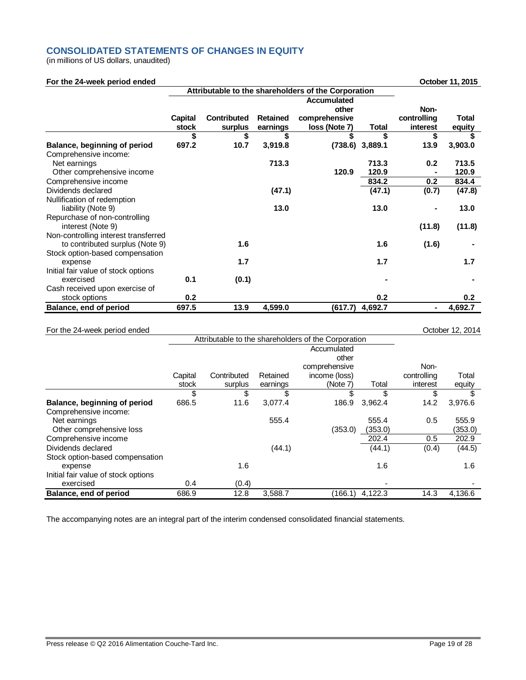## **CONSOLIDATED STATEMENTS OF CHANGES IN EQUITY**

(in millions of US dollars, unaudited)

### **For the 24-week period ended October 11, 2015**

|                                      | Attributable to the shareholders of the Corporation |                    |                 |                    |         |             |              |
|--------------------------------------|-----------------------------------------------------|--------------------|-----------------|--------------------|---------|-------------|--------------|
|                                      |                                                     |                    |                 | <b>Accumulated</b> |         |             |              |
|                                      |                                                     |                    |                 | other              |         | Non-        |              |
|                                      | Capital                                             | <b>Contributed</b> | <b>Retained</b> | comprehensive      |         | controlling | <b>Total</b> |
|                                      | stock                                               | surplus            | earnings        | loss (Note 7)      | Total   | interest    | equity       |
|                                      | \$                                                  | \$                 | \$              | \$                 | \$      | \$          |              |
| Balance, beginning of period         | 697.2                                               | 10.7               | 3,919.8         | (738.6)            | 3,889.1 | 13.9        | 3,903.0      |
| Comprehensive income:                |                                                     |                    |                 |                    |         |             |              |
| Net earnings                         |                                                     |                    | 713.3           |                    | 713.3   | 0.2         | 713.5        |
| Other comprehensive income           |                                                     |                    |                 | 120.9              | 120.9   |             | 120.9        |
| Comprehensive income                 |                                                     |                    |                 |                    | 834.2   | 0.2         | 834.4        |
| Dividends declared                   |                                                     |                    | (47.1)          |                    | (47.1)  | (0.7)       | (47.8)       |
| Nullification of redemption          |                                                     |                    |                 |                    |         |             |              |
| liability (Note 9)                   |                                                     |                    | 13.0            |                    | 13.0    |             | 13.0         |
| Repurchase of non-controlling        |                                                     |                    |                 |                    |         |             |              |
| interest (Note 9)                    |                                                     |                    |                 |                    |         | (11.8)      | (11.8)       |
| Non-controlling interest transferred |                                                     |                    |                 |                    |         |             |              |
| to contributed surplus (Note 9)      |                                                     | 1.6                |                 |                    | 1.6     | (1.6)       |              |
| Stock option-based compensation      |                                                     |                    |                 |                    |         |             |              |
| expense                              |                                                     | 1.7                |                 |                    | 1.7     |             | 1.7          |
| Initial fair value of stock options  |                                                     |                    |                 |                    |         |             |              |
| exercised                            | 0.1                                                 | (0.1)              |                 |                    |         |             |              |
| Cash received upon exercise of       |                                                     |                    |                 |                    |         |             |              |
| stock options                        | 0.2                                                 |                    |                 |                    | 0.2     |             | 0.2          |
| Balance, end of period               | 697.5                                               | 13.9               | 4,599.0         | (617.7)            | 4,692.7 |             | 4,692.7      |

### For the 24-week period ended Contact Contact Contact Contact Contact Contact Contact Contact Contact Contact Contact Contact Contact Contact Contact Contact Contact Contact Contact Contact Contact Contact Contact Contact C

|                                     | Attributable to the shareholders of the Corporation |             |          |               |         |             |         |
|-------------------------------------|-----------------------------------------------------|-------------|----------|---------------|---------|-------------|---------|
|                                     |                                                     |             |          | Accumulated   |         |             |         |
|                                     |                                                     |             |          | other         |         |             |         |
|                                     |                                                     |             |          | comprehensive |         | Non-        |         |
|                                     | Capital                                             | Contributed | Retained | income (loss) |         | controlling | Total   |
|                                     | stock                                               | surplus     | earnings | (Note 7)      | Total   | interest    | equity  |
|                                     | \$                                                  | \$          | \$       | \$            | \$      | \$          |         |
| Balance, beginning of period        | 686.5                                               | 11.6        | 3,077.4  | 186.9         | 3,962.4 | 14.2        | 3,976.6 |
| Comprehensive income:               |                                                     |             |          |               |         |             |         |
| Net earnings                        |                                                     |             | 555.4    |               | 555.4   | 0.5         | 555.9   |
| Other comprehensive loss            |                                                     |             |          | (353.0)       | (353.0) |             | (353.0) |
| Comprehensive income                |                                                     |             |          |               | 202.4   | 0.5         | 202.9   |
| Dividends declared                  |                                                     |             | (44.1)   |               | (44.1)  | (0.4)       | (44.5)  |
| Stock option-based compensation     |                                                     |             |          |               |         |             |         |
| expense                             |                                                     | 1.6         |          |               | 1.6     |             | 1.6     |
| Initial fair value of stock options |                                                     |             |          |               |         |             |         |
| exercised                           | 0.4                                                 | (0.4)       |          |               |         |             |         |
| Balance, end of period              | 686.9                                               | 12.8        | 3,588.7  | (166.1)       | 4,122.3 | 14.3        | 4,136.6 |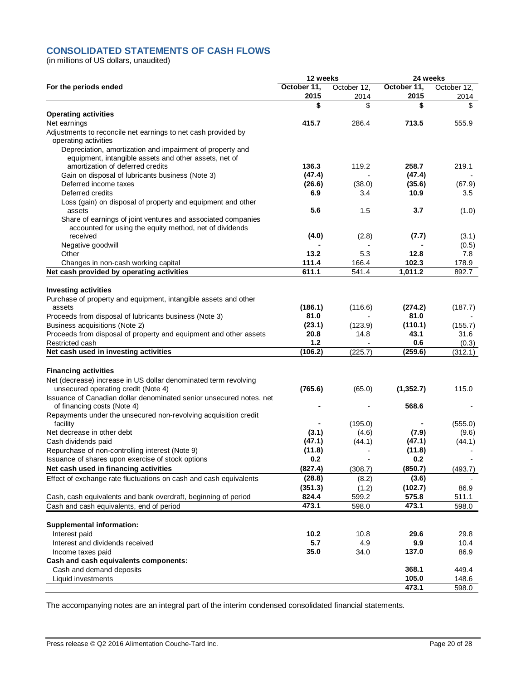## **CONSOLIDATED STATEMENTS OF CASH FLOWS**

(in millions of US dollars, unaudited)

|                                                                                                                    | 12 weeks    |             | 24 weeks    |             |  |
|--------------------------------------------------------------------------------------------------------------------|-------------|-------------|-------------|-------------|--|
| For the periods ended                                                                                              | October 11, | October 12, | October 11, | October 12, |  |
|                                                                                                                    | 2015        | 2014        | 2015        | 2014        |  |
|                                                                                                                    | \$          | \$          | \$          | \$          |  |
| <b>Operating activities</b>                                                                                        |             | 286.4       | 713.5       |             |  |
| Net earnings                                                                                                       | 415.7       |             |             | 555.9       |  |
| Adjustments to reconcile net earnings to net cash provided by<br>operating activities                              |             |             |             |             |  |
|                                                                                                                    |             |             |             |             |  |
| Depreciation, amortization and impairment of property and<br>equipment, intangible assets and other assets, net of |             |             |             |             |  |
| amortization of deferred credits                                                                                   | 136.3       | 119.2       | 258.7       | 219.1       |  |
| Gain on disposal of lubricants business (Note 3)                                                                   | (47.4)      |             | (47.4)      |             |  |
| Deferred income taxes                                                                                              | (26.6)      | (38.0)      | (35.6)      | (67.9)      |  |
| Deferred credits                                                                                                   | 6.9         | 3.4         | 10.9        | 3.5         |  |
| Loss (gain) on disposal of property and equipment and other                                                        |             |             |             |             |  |
| assets                                                                                                             | 5.6         | 1.5         | 3.7         | (1.0)       |  |
| Share of earnings of joint ventures and associated companies                                                       |             |             |             |             |  |
| accounted for using the equity method, net of dividends                                                            |             |             |             |             |  |
| received                                                                                                           | (4.0)       | (2.8)       | (7.7)       | (3.1)       |  |
| Negative goodwill                                                                                                  |             |             |             | (0.5)       |  |
| Other                                                                                                              | 13.2        | 5.3         | 12.8        | 7.8         |  |
| Changes in non-cash working capital                                                                                | 111.4       | 166.4       | 102.3       | 178.9       |  |
| Net cash provided by operating activities                                                                          | 611.1       | 541.4       | 1,011.2     | 892.7       |  |
|                                                                                                                    |             |             |             |             |  |
| <b>Investing activities</b>                                                                                        |             |             |             |             |  |
| Purchase of property and equipment, intangible assets and other                                                    |             |             |             |             |  |
| assets                                                                                                             | (186.1)     | (116.6)     | (274.2)     | (187.7)     |  |
| Proceeds from disposal of lubricants business (Note 3)                                                             | 81.0        |             | 81.0        |             |  |
| Business acquisitions (Note 2)                                                                                     | (23.1)      | (123.9)     | (110.1)     | (155.7)     |  |
| Proceeds from disposal of property and equipment and other assets                                                  | 20.8        | 14.8        | 43.1        | 31.6        |  |
| Restricted cash                                                                                                    | 1.2         |             | 0.6         | (0.3)       |  |
| Net cash used in investing activities                                                                              | (106.2)     | (225.7)     | (259.6)     | (312.1)     |  |
|                                                                                                                    |             |             |             |             |  |
| <b>Financing activities</b>                                                                                        |             |             |             |             |  |
| Net (decrease) increase in US dollar denominated term revolving                                                    |             |             |             |             |  |
| unsecured operating credit (Note 4)                                                                                | (765.6)     | (65.0)      | (1, 352.7)  | 115.0       |  |
| Issuance of Canadian dollar denominated senior unsecured notes, net                                                |             |             |             |             |  |
| of financing costs (Note 4)                                                                                        |             |             | 568.6       |             |  |
| Repayments under the unsecured non-revolving acquisition credit                                                    |             |             |             |             |  |
| facility                                                                                                           |             | (195.0)     |             | (555.0)     |  |
| Net decrease in other debt                                                                                         | (3.1)       | (4.6)       | (7.9)       | (9.6)       |  |
| Cash dividends paid                                                                                                | (47.1)      | (44.1)      | (47.1)      | (44.1)      |  |
| Repurchase of non-controlling interest (Note 9)                                                                    | (11.8)      |             | (11.8)      |             |  |
| Issuance of shares upon exercise of stock options                                                                  | 0.2         |             | 0.2         |             |  |
| Net cash used in financing activities                                                                              | (827.4)     | (308.7)     | (850.7)     | (493.7)     |  |
| Effect of exchange rate fluctuations on cash and cash equivalents                                                  | (28.8)      | (8.2)       | (3.6)       |             |  |
|                                                                                                                    | (351.3)     | (1.2)       | (102.7)     | 86.9        |  |
| Cash, cash equivalents and bank overdraft, beginning of period                                                     | 824.4       | 599.2       | 575.8       | 511.1       |  |
| Cash and cash equivalents, end of period                                                                           | 473.1       | 598.0       | 473.1       | 598.0       |  |
|                                                                                                                    |             |             |             |             |  |
| <b>Supplemental information:</b>                                                                                   |             |             |             |             |  |
| Interest paid                                                                                                      | 10.2        | 10.8        | 29.6        | 29.8        |  |
| Interest and dividends received                                                                                    | 5.7         | 4.9         | 9.9         | 10.4        |  |
| Income taxes paid                                                                                                  | 35.0        | 34.0        | 137.0       | 86.9        |  |
| Cash and cash equivalents components:                                                                              |             |             |             |             |  |
| Cash and demand deposits                                                                                           |             |             | 368.1       | 449.4       |  |
| Liquid investments                                                                                                 |             |             | 105.0       | 148.6       |  |
|                                                                                                                    |             |             | 473.1       | 598.0       |  |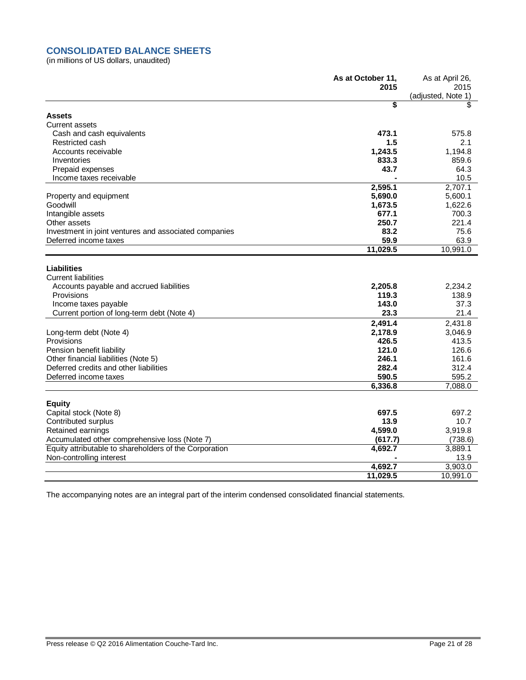# **CONSOLIDATED BALANCE SHEETS**

(in millions of US dollars, unaudited)

|                                                        | As at October 11, | As at April 26,    |
|--------------------------------------------------------|-------------------|--------------------|
|                                                        | 2015              | 2015               |
|                                                        |                   | (adjusted, Note 1) |
|                                                        | \$                | \$                 |
| <b>Assets</b>                                          |                   |                    |
| <b>Current assets</b>                                  |                   |                    |
| Cash and cash equivalents                              | 473.1             | 575.8              |
| Restricted cash                                        | 1.5               | 2.1                |
| Accounts receivable                                    | 1,243.5           | 1,194.8            |
| Inventories                                            | 833.3             | 859.6              |
| Prepaid expenses                                       | 43.7              | 64.3               |
| Income taxes receivable                                | 2,595.1           | 10.5<br>2,707.1    |
|                                                        | 5,690.0           | 5,600.1            |
| Property and equipment<br>Goodwill                     | 1,673.5           | 1,622.6            |
| Intangible assets                                      | 677.1             | 700.3              |
| Other assets                                           | 250.7             | 221.4              |
| Investment in joint ventures and associated companies  | 83.2              | 75.6               |
| Deferred income taxes                                  | 59.9              | 63.9               |
|                                                        | 11,029.5          | 10,991.0           |
|                                                        |                   |                    |
| Liabilities                                            |                   |                    |
| <b>Current liabilities</b>                             |                   |                    |
| Accounts payable and accrued liabilities               | 2,205.8           | 2,234.2            |
| Provisions                                             | 119.3             | 138.9              |
| Income taxes payable                                   | 143.0             | 37.3               |
| Current portion of long-term debt (Note 4)             | 23.3              | 21.4               |
|                                                        | 2,491.4           | 2,431.8            |
| Long-term debt (Note 4)                                | 2,178.9           | 3,046.9            |
| Provisions                                             | 426.5             | 413.5              |
| Pension benefit liability                              | 121.0             | 126.6              |
| Other financial liabilities (Note 5)                   | 246.1             | 161.6              |
| Deferred credits and other liabilities                 | 282.4             | 312.4              |
| Deferred income taxes                                  | 590.5             | 595.2              |
|                                                        | 6,336.8           | 7,088.0            |
|                                                        |                   |                    |
| <b>Equity</b>                                          |                   |                    |
| Capital stock (Note 8)                                 | 697.5             | 697.2              |
| Contributed surplus                                    | 13.9              | 10.7               |
| Retained earnings                                      | 4,599.0           | 3,919.8            |
| Accumulated other comprehensive loss (Note 7)          | (617.7)           | (738.6)            |
| Equity attributable to shareholders of the Corporation | 4,692.7           | 3,889.1            |
| Non-controlling interest                               | 4,692.7           | 13.9<br>3,903.0    |
|                                                        | 11,029.5          | 10,991.0           |
|                                                        |                   |                    |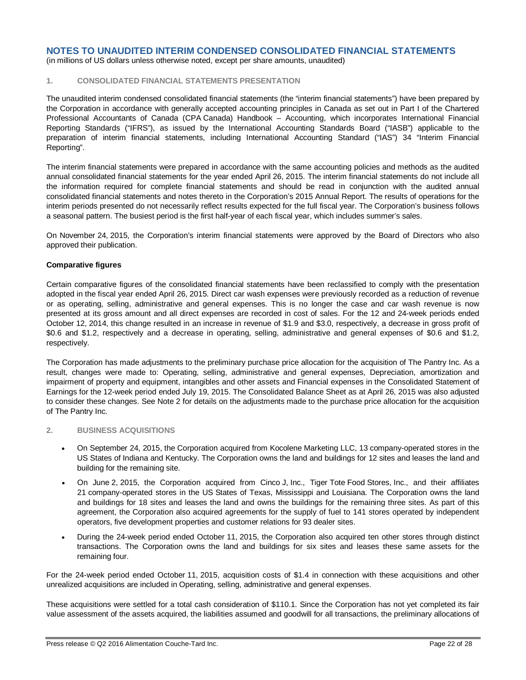(in millions of US dollars unless otherwise noted, except per share amounts, unaudited)

### **1. CONSOLIDATED FINANCIAL STATEMENTS PRESENTATION**

The unaudited interim condensed consolidated financial statements (the "interim financial statements") have been prepared by the Corporation in accordance with generally accepted accounting principles in Canada as set out in Part I of the Chartered Professional Accountants of Canada (CPA Canada) Handbook – Accounting, which incorporates International Financial Reporting Standards ("IFRS"), as issued by the International Accounting Standards Board ("IASB") applicable to the preparation of interim financial statements, including International Accounting Standard ("IAS") 34 "Interim Financial Reporting".

The interim financial statements were prepared in accordance with the same accounting policies and methods as the audited annual consolidated financial statements for the year ended April 26, 2015. The interim financial statements do not include all the information required for complete financial statements and should be read in conjunction with the audited annual consolidated financial statements and notes thereto in the Corporation's 2015 Annual Report. The results of operations for the interim periods presented do not necessarily reflect results expected for the full fiscal year. The Corporation's business follows a seasonal pattern. The busiest period is the first half-year of each fiscal year, which includes summer's sales.

On November 24, 2015, the Corporation's interim financial statements were approved by the Board of Directors who also approved their publication.

### **Comparative figures**

Certain comparative figures of the consolidated financial statements have been reclassified to comply with the presentation adopted in the fiscal year ended April 26, 2015. Direct car wash expenses were previously recorded as a reduction of revenue or as operating, selling, administrative and general expenses. This is no longer the case and car wash revenue is now presented at its gross amount and all direct expenses are recorded in cost of sales. For the 12 and 24-week periods ended October 12, 2014, this change resulted in an increase in revenue of \$1.9 and \$3.0, respectively, a decrease in gross profit of \$0.6 and \$1.2, respectively and a decrease in operating, selling, administrative and general expenses of \$0.6 and \$1.2, respectively.

The Corporation has made adjustments to the preliminary purchase price allocation for the acquisition of The Pantry Inc. As a result, changes were made to: Operating, selling, administrative and general expenses, Depreciation, amortization and impairment of property and equipment, intangibles and other assets and Financial expenses in the Consolidated Statement of Earnings for the 12-week period ended July 19, 2015. The Consolidated Balance Sheet as at April 26, 2015 was also adjusted to consider these changes. See Note 2 for details on the adjustments made to the purchase price allocation for the acquisition of The Pantry Inc.

### **2. BUSINESS ACQUISITIONS**

- On September 24, 2015, the Corporation acquired from Kocolene Marketing LLC, 13 company-operated stores in the US States of Indiana and Kentucky. The Corporation owns the land and buildings for 12 sites and leases the land and building for the remaining site.
- On June 2, 2015, the Corporation acquired from Cinco J, Inc., Tiger Tote Food Stores, Inc., and their affiliates 21 company-operated stores in the US States of Texas, Mississippi and Louisiana. The Corporation owns the land and buildings for 18 sites and leases the land and owns the buildings for the remaining three sites. As part of this agreement, the Corporation also acquired agreements for the supply of fuel to 141 stores operated by independent operators, five development properties and customer relations for 93 dealer sites.
- During the 24-week period ended October 11, 2015, the Corporation also acquired ten other stores through distinct transactions. The Corporation owns the land and buildings for six sites and leases these same assets for the remaining four.

For the 24-week period ended October 11, 2015, acquisition costs of \$1.4 in connection with these acquisitions and other unrealized acquisitions are included in Operating, selling, administrative and general expenses.

These acquisitions were settled for a total cash consideration of \$110.1. Since the Corporation has not yet completed its fair value assessment of the assets acquired, the liabilities assumed and goodwill for all transactions, the preliminary allocations of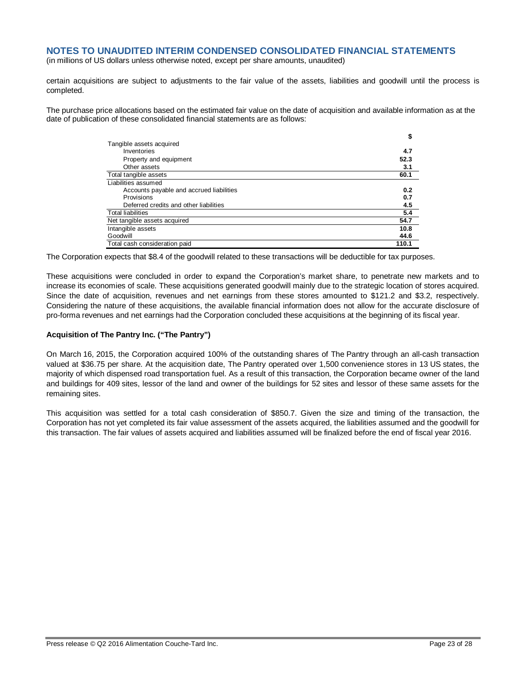(in millions of US dollars unless otherwise noted, except per share amounts, unaudited)

certain acquisitions are subject to adjustments to the fair value of the assets, liabilities and goodwill until the process is completed.

The purchase price allocations based on the estimated fair value on the date of acquisition and available information as at the date of publication of these consolidated financial statements are as follows:

|                                          | \$    |
|------------------------------------------|-------|
| Tangible assets acquired                 |       |
| Inventories                              | 4.7   |
| Property and equipment                   | 52.3  |
| Other assets                             | 3.1   |
| Total tangible assets                    | 60.1  |
| Liabilities assumed                      |       |
| Accounts payable and accrued liabilities | 0.2   |
| Provisions                               | 0.7   |
| Deferred credits and other liabilities   | 4.5   |
| <b>Total liabilities</b>                 | 5.4   |
| Net tangible assets acquired             | 54.7  |
| Intangible assets                        | 10.8  |
| Goodwill                                 | 44.6  |
| Total cash consideration paid            | 110.1 |

The Corporation expects that \$8.4 of the goodwill related to these transactions will be deductible for tax purposes.

These acquisitions were concluded in order to expand the Corporation's market share, to penetrate new markets and to increase its economies of scale. These acquisitions generated goodwill mainly due to the strategic location of stores acquired. Since the date of acquisition, revenues and net earnings from these stores amounted to \$121.2 and \$3.2, respectively. Considering the nature of these acquisitions, the available financial information does not allow for the accurate disclosure of pro-forma revenues and net earnings had the Corporation concluded these acquisitions at the beginning of its fiscal year.

### **Acquisition of The Pantry Inc. ("The Pantry")**

On March 16, 2015, the Corporation acquired 100% of the outstanding shares of The Pantry through an all-cash transaction valued at \$36.75 per share. At the acquisition date, The Pantry operated over 1,500 convenience stores in 13 US states, the majority of which dispensed road transportation fuel. As a result of this transaction, the Corporation became owner of the land and buildings for 409 sites, lessor of the land and owner of the buildings for 52 sites and lessor of these same assets for the remaining sites.

This acquisition was settled for a total cash consideration of \$850.7. Given the size and timing of the transaction, the Corporation has not yet completed its fair value assessment of the assets acquired, the liabilities assumed and the goodwill for this transaction. The fair values of assets acquired and liabilities assumed will be finalized before the end of fiscal year 2016.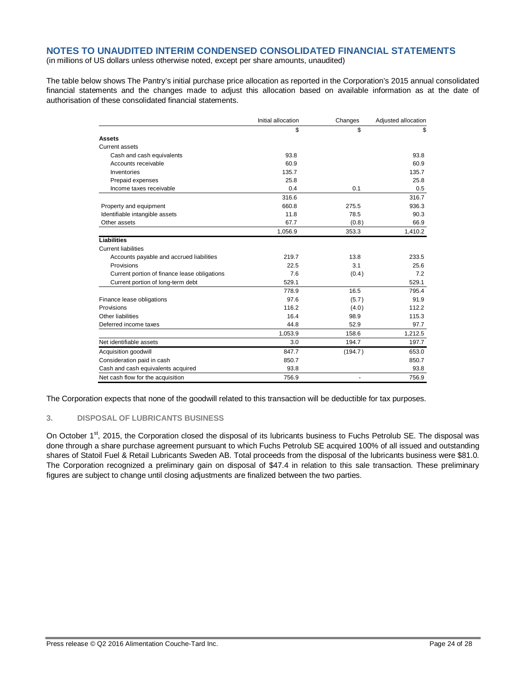(in millions of US dollars unless otherwise noted, except per share amounts, unaudited)

The table below shows The Pantry's initial purchase price allocation as reported in the Corporation's 2015 annual consolidated financial statements and the changes made to adjust this allocation based on available information as at the date of authorisation of these consolidated financial statements.

|                                              | Initial allocation | Changes                  | Adjusted allocation |
|----------------------------------------------|--------------------|--------------------------|---------------------|
|                                              | \$                 | \$                       | \$                  |
| <b>Assets</b>                                |                    |                          |                     |
| <b>Current assets</b>                        |                    |                          |                     |
| Cash and cash equivalents                    | 93.8               |                          | 93.8                |
| Accounts receivable                          | 60.9               |                          | 60.9                |
| Inventories                                  | 135.7              |                          | 135.7               |
| Prepaid expenses                             | 25.8               |                          | 25.8                |
| Income taxes receivable                      | 0.4                | 0.1                      | 0.5                 |
|                                              | 316.6              |                          | 316.7               |
| Property and equipment                       | 660.8              | 275.5                    | 936.3               |
| Identifiable intangible assets               | 11.8               | 78.5                     | 90.3                |
| Other assets                                 | 67.7               | (0.8)                    | 66.9                |
|                                              | 1,056.9            | 353.3                    | 1,410.2             |
| <b>Liabilities</b>                           |                    |                          |                     |
| <b>Current liabilities</b>                   |                    |                          |                     |
| Accounts payable and accrued liabilities     | 219.7              | 13.8                     | 233.5               |
| Provisions                                   | 22.5               | 3.1                      | 25.6                |
| Current portion of finance lease obligations | 7.6                | (0.4)                    | 7.2                 |
| Current portion of long-term debt            | 529.1              |                          | 529.1               |
|                                              | 778.9              | 16.5                     | 795.4               |
| Finance lease obligations                    | 97.6               | (5.7)                    | 91.9                |
| Provisions                                   | 116.2              | (4.0)                    | 112.2               |
| Other liabilities                            | 16.4               | 98.9                     | 115.3               |
| Deferred income taxes                        | 44.8               | 52.9                     | 97.7                |
|                                              | 1,053.9            | 158.6                    | 1,212.5             |
| Net identifiable assets                      | 3.0                | 194.7                    | 197.7               |
| Acquisition goodwill                         | 847.7              | (194.7)                  | 653.0               |
| Consideration paid in cash                   | 850.7              |                          | 850.7               |
| Cash and cash equivalents acquired           | 93.8               |                          | 93.8                |
| Net cash flow for the acquisition            | 756.9              | $\overline{\phantom{a}}$ | 756.9               |

The Corporation expects that none of the goodwill related to this transaction will be deductible for tax purposes.

### **3. DISPOSAL OF LUBRICANTS BUSINESS**

On October 1<sup>st</sup>, 2015, the Corporation closed the disposal of its lubricants business to Fuchs Petrolub SE. The disposal was done through a share purchase agreement pursuant to which Fuchs Petrolub SE acquired 100% of all issued and outstanding shares of Statoil Fuel & Retail Lubricants Sweden AB. Total proceeds from the disposal of the lubricants business were \$81.0. The Corporation recognized a preliminary gain on disposal of \$47.4 in relation to this sale transaction. These preliminary figures are subject to change until closing adjustments are finalized between the two parties.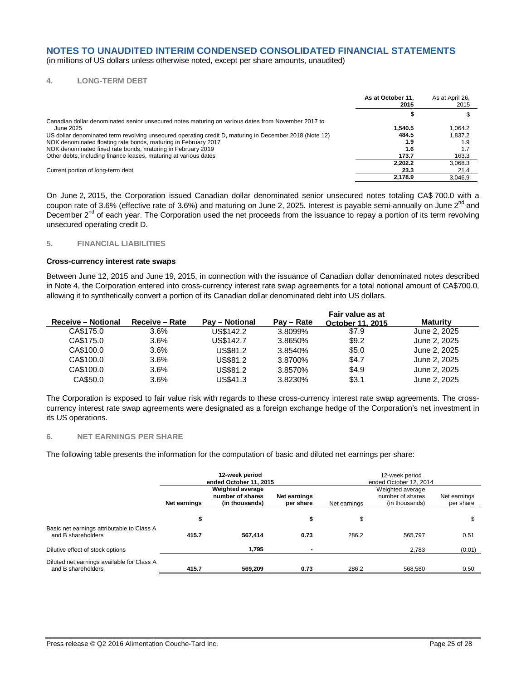(in millions of US dollars unless otherwise noted, except per share amounts, unaudited)

### **4. LONG-TERM DEBT**

|                                                                                                        | As at October 11.<br>2015 | As at April 26,<br>2015 |
|--------------------------------------------------------------------------------------------------------|---------------------------|-------------------------|
|                                                                                                        |                           |                         |
| Canadian dollar denominated senior unsecured notes maturing on various dates from November 2017 to     |                           |                         |
| June 2025                                                                                              | 1.540.5                   | 1.064.2                 |
| US dollar denominated term revolving unsecured operating credit D, maturing in December 2018 (Note 12) | 484.5                     | 1.837.2                 |
| NOK denominated floating rate bonds, maturing in February 2017                                         | 1.9                       | 1.9                     |
| NOK denominated fixed rate bonds, maturing in February 2019                                            | 1.6                       | 1.7                     |
| Other debts, including finance leases, maturing at various dates                                       | 173.7                     | 163.3                   |
|                                                                                                        | 2.202.2                   | 3,068.3                 |
| Current portion of long-term debt                                                                      | 23.3                      | 21.4                    |
|                                                                                                        | 2.178.9                   | 3.046.9                 |

On June 2, 2015, the Corporation issued Canadian dollar denominated senior unsecured notes totaling CA\$ 700.0 with a coupon rate of 3.6% (effective rate of 3.6%) and maturing on June 2, 2025. Interest is payable semi-annually on June 2<sup>nd</sup> and December 2<sup>nd</sup> of each year. The Corporation used the net proceeds from the issuance to repay a portion of its term revolving unsecured operating credit D.

### **5. FINANCIAL LIABILITIES**

### **Cross-currency interest rate swaps**

Between June 12, 2015 and June 19, 2015, in connection with the issuance of Canadian dollar denominated notes described in Note 4, the Corporation entered into cross-currency interest rate swap agreements for a total notional amount of CA\$700.0, allowing it to synthetically convert a portion of its Canadian dollar denominated debt into US dollars.

|                |                |            | Fair value as at |                 |
|----------------|----------------|------------|------------------|-----------------|
| Receive - Rate | Pay - Notional | Pay – Rate | October 11, 2015 | <b>Maturity</b> |
| 3.6%           | US\$142.2      | 3.8099%    | \$7.9            | June 2, 2025    |
| 3.6%           | US\$142.7      | 3.8650%    | \$9.2            | June 2, 2025    |
| 3.6%           | US\$81.2       | 3.8540%    | \$5.0            | June 2, 2025    |
| 3.6%           | US\$81.2       | 3.8700%    | \$4.7            | June 2, 2025    |
| 3.6%           | US\$81.2       | 3.8570%    | \$4.9            | June 2, 2025    |
| $3.6\%$        | US\$41.3       | 3.8230%    | \$3.1            | June 2, 2025    |
|                |                |            |                  |                 |

The Corporation is exposed to fair value risk with regards to these cross-currency interest rate swap agreements. The crosscurrency interest rate swap agreements were designated as a foreign exchange hedge of the Corporation's net investment in its US operations.

### **6. NET EARNINGS PER SHARE**

The following table presents the information for the computation of basic and diluted net earnings per share:

|                                                                  | 12-week period<br>ended October 11, 2015                                                                          |         |      | 12-week period<br>ended October 12, 2014 |                                                        |                           |  |
|------------------------------------------------------------------|-------------------------------------------------------------------------------------------------------------------|---------|------|------------------------------------------|--------------------------------------------------------|---------------------------|--|
|                                                                  | <b>Weighted average</b><br>number of shares<br><b>Net earnings</b><br>Net earnings<br>(in thousands)<br>per share |         |      | Net earnings                             | Weighted average<br>number of shares<br>(in thousands) | Net earnings<br>per share |  |
|                                                                  | \$                                                                                                                |         | \$   | \$                                       |                                                        | S                         |  |
| Basic net earnings attributable to Class A<br>and B shareholders | 415.7                                                                                                             | 567.414 | 0.73 | 286.2                                    | 565.797                                                | 0.51                      |  |
| Dilutive effect of stock options                                 |                                                                                                                   | 1,795   | ۰    |                                          | 2.783                                                  | (0.01)                    |  |
| Diluted net earnings available for Class A<br>and B shareholders | 415.7                                                                                                             | 569.209 | 0.73 | 286.2                                    | 568.580                                                | 0.50                      |  |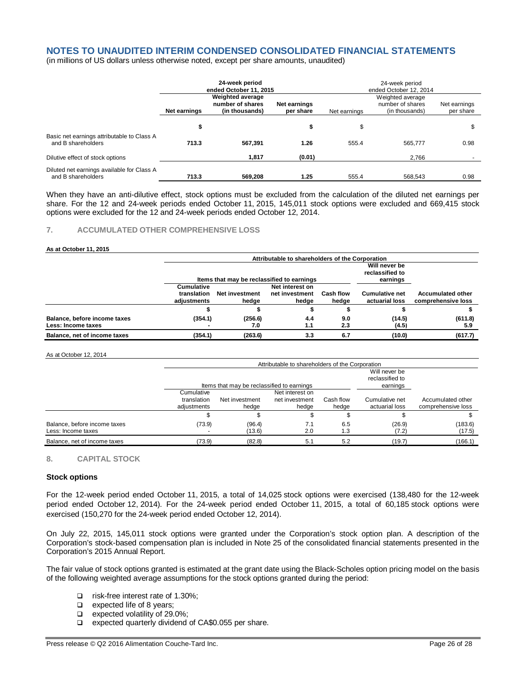(in millions of US dollars unless otherwise noted, except per share amounts, unaudited)

|                                                                  | 24-week period<br>ended October 11, 2015                                                                   |         |        |              | 24-week period<br>ended October 12, 2014               |                           |  |  |
|------------------------------------------------------------------|------------------------------------------------------------------------------------------------------------|---------|--------|--------------|--------------------------------------------------------|---------------------------|--|--|
|                                                                  | Weighted average<br>number of shares<br><b>Net earnings</b><br>Net earnings<br>(in thousands)<br>per share |         |        | Net earnings | Weighted average<br>number of shares<br>(in thousands) | Net earnings<br>per share |  |  |
|                                                                  | \$                                                                                                         |         |        | \$           |                                                        |                           |  |  |
| Basic net earnings attributable to Class A<br>and B shareholders | 713.3                                                                                                      | 567,391 | 1.26   | 555.4        | 565.777                                                | 0.98                      |  |  |
| Dilutive effect of stock options                                 |                                                                                                            | 1,817   | (0.01) |              | 2.766                                                  |                           |  |  |
| Diluted net earnings available for Class A<br>and B shareholders | 713.3                                                                                                      | 569.208 | 1.25   | 555.4        | 568.543                                                | 0.98                      |  |  |

When they have an anti-dilutive effect, stock options must be excluded from the calculation of the diluted net earnings per share. For the 12 and 24-week periods ended October 11, 2015, 145,011 stock options were excluded and 669,415 stock options were excluded for the 12 and 24-week periods ended October 12, 2014.

### **7. ACCUMULATED OTHER COMPREHENSIVE LOSS**

#### **As at October 11, 2015**

|                                                    |                                          | Attributable to shareholders of the Corporation |                                            |                           |                                              |                                                |  |  |  |
|----------------------------------------------------|------------------------------------------|-------------------------------------------------|--------------------------------------------|---------------------------|----------------------------------------------|------------------------------------------------|--|--|--|
|                                                    |                                          |                                                 | Items that may be reclassified to earnings |                           | Will never be<br>reclassified to<br>earnings | <b>Accumulated other</b><br>comprehensive loss |  |  |  |
|                                                    | Cumulative<br>translation<br>adiustments | Net investment<br>hedge                         | Net interest on<br>net investment<br>hedge | <b>Cash flow</b><br>hedge | <b>Cumulative net</b><br>actuarial loss      |                                                |  |  |  |
|                                                    |                                          |                                                 |                                            |                           |                                              |                                                |  |  |  |
| Balance, before income taxes<br>Less: Income taxes | (354.1)                                  | (256.6)<br>7.0                                  | 4.4<br>1.1                                 | 9.0<br>2.3                | (14.5)<br>(4.5)                              | (611.8)<br>5.9                                 |  |  |  |
| Balance, net of income taxes                       | (354.1)                                  | (263.6)                                         | 3.3                                        | 6.7                       | (10.0)                                       | (617.7)                                        |  |  |  |

#### As at October 12, 2014

|                                                    |                                          | Attributable to shareholders of the Corporation                                            |                                            |                    |                                  |                                         |  |  |
|----------------------------------------------------|------------------------------------------|--------------------------------------------------------------------------------------------|--------------------------------------------|--------------------|----------------------------------|-----------------------------------------|--|--|
|                                                    |                                          | Will never be<br>reclassified to<br>earnings<br>Items that may be reclassified to earnings |                                            |                    |                                  |                                         |  |  |
|                                                    | Cumulative<br>translation<br>adjustments | Net investment<br>hedae                                                                    | Net interest on<br>net investment<br>hedae | Cash flow<br>hedge | Cumulative net<br>actuarial loss | Accumulated other<br>comprehensive loss |  |  |
|                                                    |                                          |                                                                                            |                                            |                    |                                  |                                         |  |  |
| Balance, before income taxes<br>Less: Income taxes | (73.9)                                   | (96.4)<br>(13.6)                                                                           | 7.1<br>2.0                                 | 6.5<br>1.3         | (26.9)<br>(7.2)                  | (183.6)<br>(17.5)                       |  |  |
| Balance, net of income taxes                       | (73.9)                                   | (82.8)                                                                                     | 5.1                                        | 5.2                | (19.7)                           | (166.1)                                 |  |  |

### **8. CAPITAL STOCK**

### **Stock options**

For the 12-week period ended October 11, 2015, a total of 14,025 stock options were exercised (138,480 for the 12-week period ended October 12, 2014). For the 24-week period ended October 11, 2015, a total of 60,185 stock options were exercised (150,270 for the 24-week period ended October 12, 2014).

On July 22, 2015, 145,011 stock options were granted under the Corporation's stock option plan. A description of the Corporation's stock-based compensation plan is included in Note 25 of the consolidated financial statements presented in the Corporation's 2015 Annual Report.

The fair value of stock options granted is estimated at the grant date using the Black-Scholes option pricing model on the basis of the following weighted average assumptions for the stock options granted during the period:

- risk-free interest rate of 1.30%;
- $\Box$  expected life of 8 years;
- $\Box$  expected volatility of 29.0%;<br> $\Box$  expected quarterly dividend
- expected quarterly dividend of CA\$0.055 per share.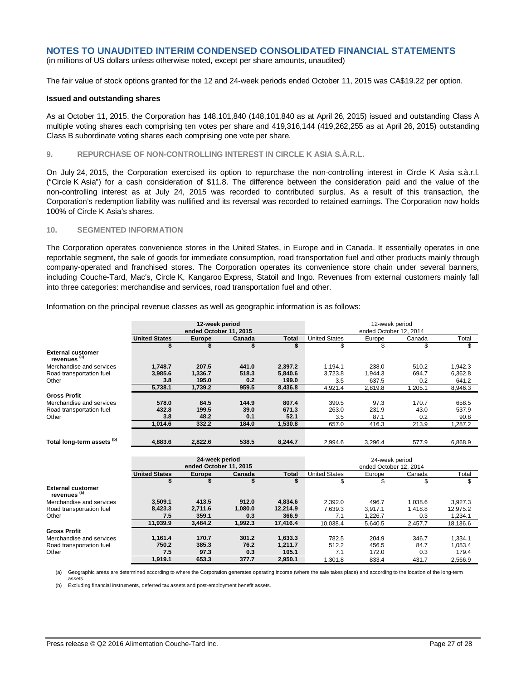(in millions of US dollars unless otherwise noted, except per share amounts, unaudited)

The fair value of stock options granted for the 12 and 24-week periods ended October 11, 2015 was CA\$19.22 per option.

### **Issued and outstanding shares**

As at October 11, 2015, the Corporation has 148,101,840 (148,101,840 as at April 26, 2015) issued and outstanding Class A multiple voting shares each comprising ten votes per share and 419,316,144 (419,262,255 as at April 26, 2015) outstanding Class B subordinate voting shares each comprising one vote per share.

### **9. REPURCHASE OF NON-CONTROLLING INTEREST IN CIRCLE K ASIA S.À.R.L.**

On July 24, 2015, the Corporation exercised its option to repurchase the non-controlling interest in Circle K Asia s.à.r.l. ("Circle K Asia") for a cash consideration of \$11.8. The difference between the consideration paid and the value of the non-controlling interest as at July 24, 2015 was recorded to contributed surplus. As a result of this transaction, the Corporation's redemption liability was nullified and its reversal was recorded to retained earnings. The Corporation now holds 100% of Circle K Asia's shares.

### **10. SEGMENTED INFORMATION**

The Corporation operates convenience stores in the United States, in Europe and in Canada. It essentially operates in one reportable segment, the sale of goods for immediate consumption, road transportation fuel and other products mainly through company-operated and franchised stores. The Corporation operates its convenience store chain under several banners, including Couche-Tard, Mac's, Circle K, Kangaroo Express, Statoil and Ingo. Revenues from external customers mainly fall into three categories: merchandise and services, road transportation fuel and other.

Information on the principal revenue classes as well as geographic information is as follows:

|                                                     | 12-week period<br>ended October 11, 2015 |                        |         |              | 12-week period<br>ended October 12, 2014 |         |         |          |
|-----------------------------------------------------|------------------------------------------|------------------------|---------|--------------|------------------------------------------|---------|---------|----------|
|                                                     | <b>United States</b>                     | <b>Europe</b>          | Canada  | <b>Total</b> | <b>United States</b>                     | Europe  | Canada  | Total    |
|                                                     | \$                                       | \$                     | \$      | \$           | \$                                       | \$      | \$      | \$       |
| <b>External customer</b><br>revenues <sup>(a)</sup> |                                          |                        |         |              |                                          |         |         |          |
| Merchandise and services                            | 1,748.7                                  | 207.5                  | 441.0   | 2,397.2      | 1.194.1                                  | 238.0   | 510.2   | 1.942.3  |
| Road transportation fuel                            | 3,985.6                                  | 1,336.7                | 518.3   | 5.840.6      | 3.723.8                                  | 1.944.3 | 694.7   | 6,362.8  |
| Other                                               | 3.8                                      | 195.0                  | 0.2     | 199.0        | 3.5                                      | 637.5   | 0.2     | 641.2    |
|                                                     | 5.738.1                                  | 1.739.2                | 959.5   | 8.436.8      | 4,921.4                                  | 2,819.8 | 1,205.1 | 8,946.3  |
| <b>Gross Profit</b>                                 |                                          |                        |         |              |                                          |         |         |          |
| Merchandise and services                            | 578.0                                    | 84.5                   | 144.9   | 807.4        | 390.5                                    | 97.3    | 170.7   | 658.5    |
| Road transportation fuel                            | 432.8                                    | 199.5                  | 39.0    | 671.3        | 263.0                                    | 231.9   | 43.0    | 537.9    |
| Other                                               | 3.8                                      | 48.2                   | 0.1     | 52.1         | 3.5                                      | 87.1    | 0.2     | 90.8     |
|                                                     | 1.014.6                                  | 332.2                  | 184.0   | 1.530.8      | 657.0                                    | 416.3   | 213.9   | 1,287.2  |
|                                                     |                                          |                        |         |              |                                          |         |         |          |
| Total long-term assets (b)                          | 4,883.6                                  | 2,822.6                | 538.5   | 8,244.7      | 2.994.6                                  | 3,296.4 | 577.9   | 6,868.9  |
|                                                     |                                          |                        |         |              |                                          |         |         |          |
|                                                     |                                          | 24-week period         |         |              | 24-week period                           |         |         |          |
|                                                     |                                          | ended October 11, 2015 |         |              | ended October 12, 2014                   |         |         |          |
|                                                     | <b>United States</b>                     | <b>Europe</b>          | Canada  | <b>Total</b> | <b>United States</b>                     | Europe  | Canada  | Total    |
| <b>External customer</b><br>revenues <sup>(a)</sup> | \$                                       | \$                     | \$      | \$           | \$                                       | \$      | \$      | \$       |
| Merchandise and services                            | 3,509.1                                  | 413.5                  | 912.0   | 4.834.6      | 2,392.0                                  | 496.7   | 1,038.6 | 3,927.3  |
| Road transportation fuel                            | 8.423.3                                  | 2,711.6                | 1,080.0 | 12,214.9     | 7.639.3                                  | 3,917.1 | 1,418.8 | 12,975.2 |
| Other                                               | 7.5                                      | 359.1                  | 0.3     | 366.9        | 7.1                                      | 1,226.7 | 0.3     | 1,234.1  |
|                                                     | 11.939.9                                 | 3.484.2                | 1,992.3 | 17,416.4     | 10,038.4                                 | 5,640.5 | 2,457.7 | 18,136.6 |
| <b>Gross Profit</b>                                 |                                          |                        |         |              |                                          |         |         |          |
| Merchandise and services                            | 1,161.4                                  | 170.7                  | 301.2   | 1,633.3      | 782.5                                    | 204.9   | 346.7   | 1,334.1  |
| Road transportation fuel                            | 750.2                                    | 385.3                  | 76.2    | 1.211.7      | 512.2                                    | 456.5   | 84.7    | 1,053.4  |
| Other                                               | 7.5                                      | 97.3                   | 0.3     | 105.1        | 7.1                                      | 172.0   | 0.3     | 179.4    |
|                                                     | 1,919.1                                  | 653.3                  | 377.7   | 2,950.1      | 1,301.8                                  | 833.4   | 431.7   | 2,566.9  |
|                                                     |                                          |                        |         |              |                                          |         |         |          |

(a) Geographic areas are determined according to where the Corporation generates operating income (where the sale takes place) and according to the location of the long-term

assets. (b) Excluding financial instruments, deferred tax assets and post-employment benefit assets.